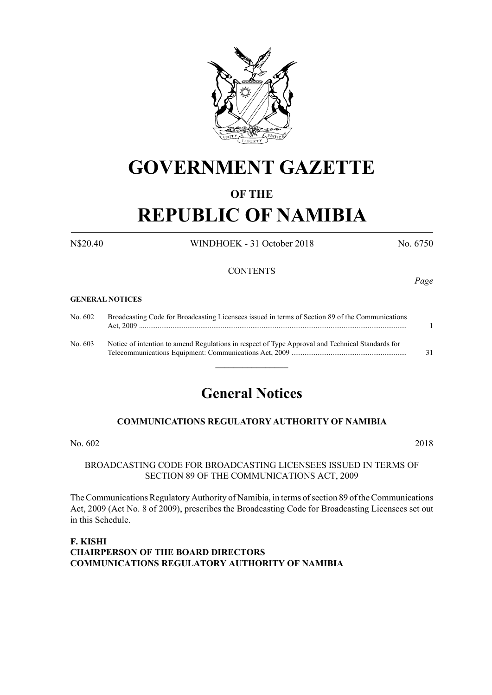

# **GOVERNMENT GAZETTE**

# **OF THE**

# **REPUBLIC OF NAMIBIA**

N\$20.40 WINDHOEK - 31 October 2018 No. 6750

### **CONTENTS**

#### **GENERAL NOTICES**

| No. 602 | Broadcasting Code for Broadcasting Licensees issued in terms of Section 89 of the Communications |    |
|---------|--------------------------------------------------------------------------------------------------|----|
| No. 603 | Notice of intention to amend Regulations in respect of Type Approval and Technical Standards for | 31 |

 $\frac{1}{2}$ 

# **General Notices**

# **COMMUNICATIONS REGULATORY AUTHORITY OF NAMIBIA**

No. 602 2018

#### BROADCASTING CODE FOR BROADCASTING LICENSEES ISSUED IN TERMS OF SECTION 89 OF THE COMMUNICATIONS ACT, 2009

The Communications Regulatory Authority of Namibia, in terms of section 89 of the Communications Act, 2009 (Act No. 8 of 2009), prescribes the Broadcasting Code for Broadcasting Licensees set out in this Schedule.

**F. KISHI CHAIRPERSON OF THE BOARD DIRECTORS COMMUNICATIONS REGULATORY AUTHORITY OF NAMIBIA**

# *Page*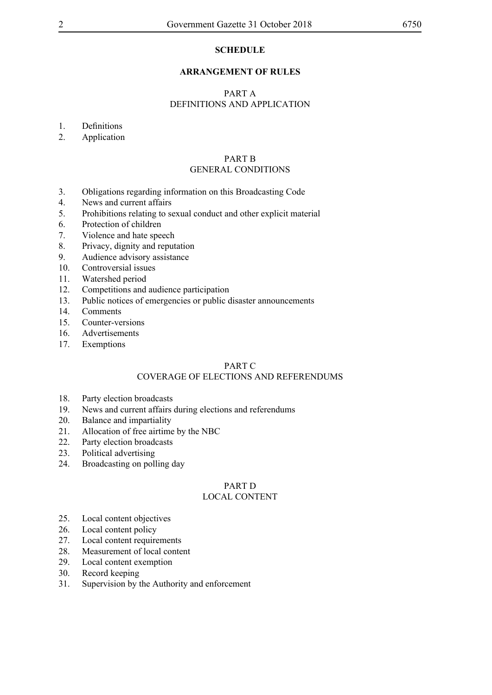#### **SCHEDULE**

#### **ARRANGEMENT OF RULES**

# PART A DEFINITIONS AND APPLICATION

- 1. Definitions
- 2. Application

# PART B

#### GENERAL CONDITIONS

- 3. Obligations regarding information on this Broadcasting Code
- 4. News and current affairs
- 5. Prohibitions relating to sexual conduct and other explicit material
- 6. Protection of children
- 7. Violence and hate speech
- 8. Privacy, dignity and reputation
- 9. Audience advisory assistance
- 10. Controversial issues
- 11. Watershed period
- 12. Competitions and audience participation
- 13. Public notices of emergencies or public disaster announcements
- 14. Comments
- 15. Counter-versions
- 16. Advertisements
- 17. Exemptions

#### PART C

#### COVERAGE OF ELECTIONS AND REFERENDUMS

- 18. Party election broadcasts
- 19. News and current affairs during elections and referendums
- 20. Balance and impartiality
- 21. Allocation of free airtime by the NBC
- 22. Party election broadcasts
- 23. Political advertising
- 24. Broadcasting on polling day

# PART D

#### LOCAL CONTENT

- 25. Local content objectives<br>26. Local content policy
- Local content policy
- 27. Local content requirements
- 28. Measurement of local content
- 29. Local content exemption
- 30. Record keeping
- 31. Supervision by the Authority and enforcement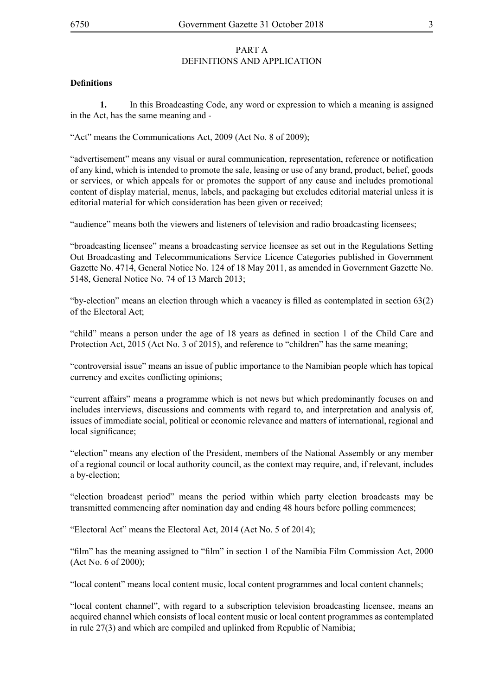### PART A DEFINITIONS AND APPLICATION

#### **Definitions**

**1.** In this Broadcasting Code, any word or expression to which a meaning is assigned in the Act, has the same meaning and -

"Act" means the Communications Act, 2009 (Act No. 8 of 2009);

"advertisement" means any visual or aural communication, representation, reference or notification of any kind, which is intended to promote the sale, leasing or use of any brand, product, belief, goods or services, or which appeals for or promotes the support of any cause and includes promotional content of display material, menus, labels, and packaging but excludes editorial material unless it is editorial material for which consideration has been given or received;

"audience" means both the viewers and listeners of television and radio broadcasting licensees;

"broadcasting licensee" means a broadcasting service licensee as set out in the Regulations Setting Out Broadcasting and Telecommunications Service Licence Categories published in Government Gazette No. 4714, General Notice No. 124 of 18 May 2011, as amended in Government Gazette No. 5148, General Notice No. 74 of 13 March 2013;

"by-election" means an election through which a vacancy is filled as contemplated in section 63(2) of the Electoral Act;

"child" means a person under the age of 18 years as defined in section 1 of the Child Care and Protection Act, 2015 (Act No. 3 of 2015), and reference to "children" has the same meaning;

"controversial issue" means an issue of public importance to the Namibian people which has topical currency and excites conflicting opinions;

"current affairs" means a programme which is not news but which predominantly focuses on and includes interviews, discussions and comments with regard to, and interpretation and analysis of, issues of immediate social, political or economic relevance and matters of international, regional and local significance;

"election" means any election of the President, members of the National Assembly or any member of a regional council or local authority council, as the context may require, and, if relevant, includes a by-election;

"election broadcast period" means the period within which party election broadcasts may be transmitted commencing after nomination day and ending 48 hours before polling commences;

"Electoral Act" means the Electoral Act, 2014 (Act No. 5 of 2014);

"film" has the meaning assigned to "film" in section 1 of the Namibia Film Commission Act, 2000 (Act No. 6 of 2000);

"local content" means local content music, local content programmes and local content channels;

"local content channel", with regard to a subscription television broadcasting licensee, means an acquired channel which consists of local content music or local content programmes as contemplated in rule 27(3) and which are compiled and uplinked from Republic of Namibia;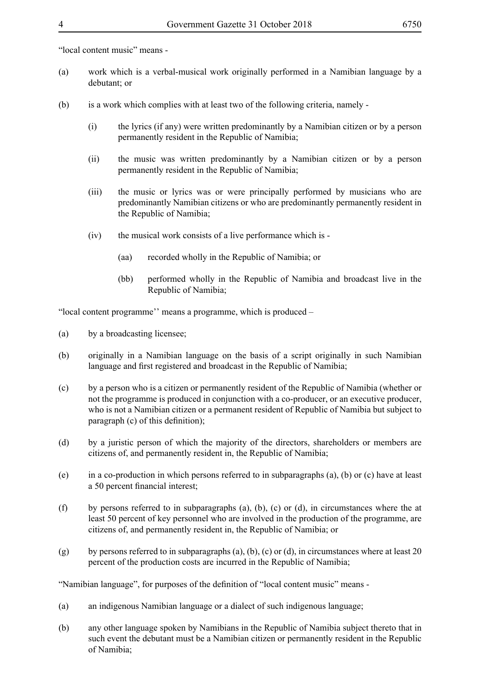"local content music" means -

- (a) work which is a verbal-musical work originally performed in a Namibian language by a debutant; or
- (b) is a work which complies with at least two of the following criteria, namely
	- (i) the lyrics (if any) were written predominantly by a Namibian citizen or by a person permanently resident in the Republic of Namibia;
	- (ii) the music was written predominantly by a Namibian citizen or by a person permanently resident in the Republic of Namibia;
	- (iii) the music or lyrics was or were principally performed by musicians who are predominantly Namibian citizens or who are predominantly permanently resident in the Republic of Namibia;
	- (iv) the musical work consists of a live performance which is
		- (aa) recorded wholly in the Republic of Namibia; or
		- (bb) performed wholly in the Republic of Namibia and broadcast live in the Republic of Namibia;

"local content programme'' means a programme, which is produced –

- (a) by a broadcasting licensee;
- (b) originally in a Namibian language on the basis of a script originally in such Namibian language and first registered and broadcast in the Republic of Namibia;
- (c) by a person who is a citizen or permanently resident of the Republic of Namibia (whether or not the programme is produced in conjunction with a co-producer, or an executive producer, who is not a Namibian citizen or a permanent resident of Republic of Namibia but subject to paragraph (c) of this definition);
- (d) by a juristic person of which the majority of the directors, shareholders or members are citizens of, and permanently resident in, the Republic of Namibia;
- (e) in a co-production in which persons referred to in subparagraphs (a), (b) or (c) have at least a 50 percent financial interest;
- (f) by persons referred to in subparagraphs (a), (b), (c) or (d), in circumstances where the at least 50 percent of key personnel who are involved in the production of the programme, are citizens of, and permanently resident in, the Republic of Namibia; or
- (g) by persons referred to in subparagraphs (a), (b), (c) or (d), in circumstances where at least  $20$ percent of the production costs are incurred in the Republic of Namibia;

"Namibian language", for purposes of the definition of "local content music" means -

- (a) an indigenous Namibian language or a dialect of such indigenous language;
- (b) any other language spoken by Namibians in the Republic of Namibia subject thereto that in such event the debutant must be a Namibian citizen or permanently resident in the Republic of Namibia;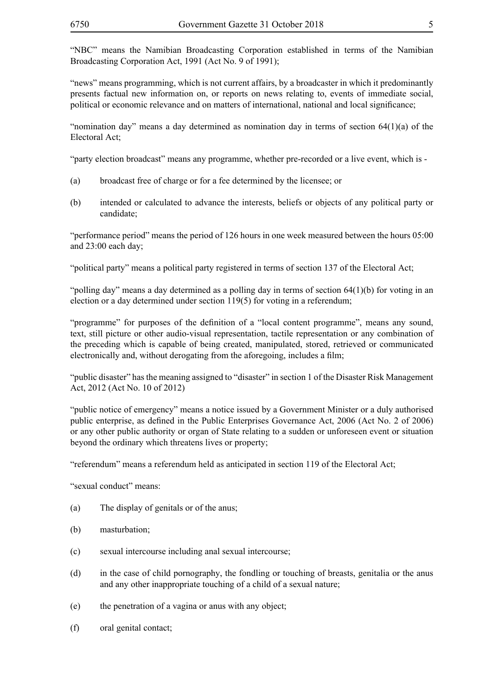"NBC" means the Namibian Broadcasting Corporation established in terms of the Namibian Broadcasting Corporation Act, 1991 (Act No. 9 of 1991);

"news" means programming, which is not current affairs, by a broadcaster in which it predominantly presents factual new information on, or reports on news relating to, events of immediate social, political or economic relevance and on matters of international, national and local significance;

"nomination day" means a day determined as nomination day in terms of section 64(1)(a) of the Electoral Act;

"party election broadcast" means any programme, whether pre-recorded or a live event, which is -

- (a) broadcast free of charge or for a fee determined by the licensee; or
- (b) intended or calculated to advance the interests, beliefs or objects of any political party or candidate;

"performance period" means the period of 126 hours in one week measured between the hours 05:00 and 23:00 each day;

"political party" means a political party registered in terms of section 137 of the Electoral Act;

"polling day" means a day determined as a polling day in terms of section 64(1)(b) for voting in an election or a day determined under section 119(5) for voting in a referendum;

"programme" for purposes of the definition of a "local content programme", means any sound, text, still picture or other audio-visual representation, tactile representation or any combination of the preceding which is capable of being created, manipulated, stored, retrieved or communicated electronically and, without derogating from the aforegoing, includes a film;

"public disaster" has the meaning assigned to "disaster" in section 1 of the Disaster Risk Management Act, 2012 (Act No. 10 of 2012)

"public notice of emergency" means a notice issued by a Government Minister or a duly authorised public enterprise, as defined in the Public Enterprises Governance Act, 2006 (Act No. 2 of 2006) or any other public authority or organ of State relating to a sudden or unforeseen event or situation beyond the ordinary which threatens lives or property;

"referendum" means a referendum held as anticipated in section 119 of the Electoral Act;

"sexual conduct" means:

- (a) The display of genitals or of the anus;
- (b) masturbation;
- (c) sexual intercourse including anal sexual intercourse;
- (d) in the case of child pornography, the fondling or touching of breasts, genitalia or the anus and any other inappropriate touching of a child of a sexual nature;
- (e) the penetration of a vagina or anus with any object;
- (f) oral genital contact;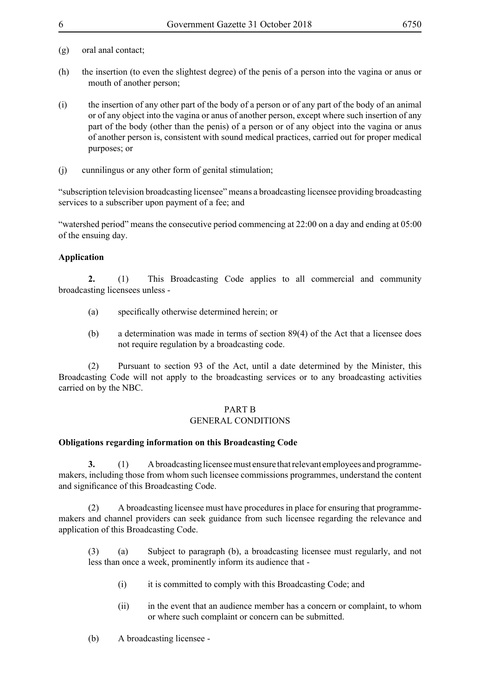- (g) oral anal contact;
- (h) the insertion (to even the slightest degree) of the penis of a person into the vagina or anus or mouth of another person;
- (i) the insertion of any other part of the body of a person or of any part of the body of an animal or of any object into the vagina or anus of another person, except where such insertion of any part of the body (other than the penis) of a person or of any object into the vagina or anus of another person is, consistent with sound medical practices, carried out for proper medical purposes; or
- (j) cunnilingus or any other form of genital stimulation;

"subscription television broadcasting licensee" means a broadcasting licensee providing broadcasting services to a subscriber upon payment of a fee; and

"watershed period" means the consecutive period commencing at 22:00 on a day and ending at 05:00 of the ensuing day.

#### **Application**

**2.** (1) This Broadcasting Code applies to all commercial and community broadcasting licensees unless -

- (a) specifically otherwise determined herein; or
- (b) a determination was made in terms of section 89(4) of the Act that a licensee does not require regulation by a broadcasting code.

(2) Pursuant to section 93 of the Act, until a date determined by the Minister, this Broadcasting Code will not apply to the broadcasting services or to any broadcasting activities carried on by the NBC.

#### PART B

# GENERAL CONDITIONS

#### **Obligations regarding information on this Broadcasting Code**

**3.** (1) A broadcasting licensee must ensure that relevant employees and programmemakers, including those from whom such licensee commissions programmes, understand the content and significance of this Broadcasting Code.

(2) A broadcasting licensee must have procedures in place for ensuring that programmemakers and channel providers can seek guidance from such licensee regarding the relevance and application of this Broadcasting Code.

(3) (a) Subject to paragraph (b), a broadcasting licensee must regularly, and not less than once a week, prominently inform its audience that -

- (i) it is committed to comply with this Broadcasting Code; and
- (ii) in the event that an audience member has a concern or complaint, to whom or where such complaint or concern can be submitted.
- (b) A broadcasting licensee -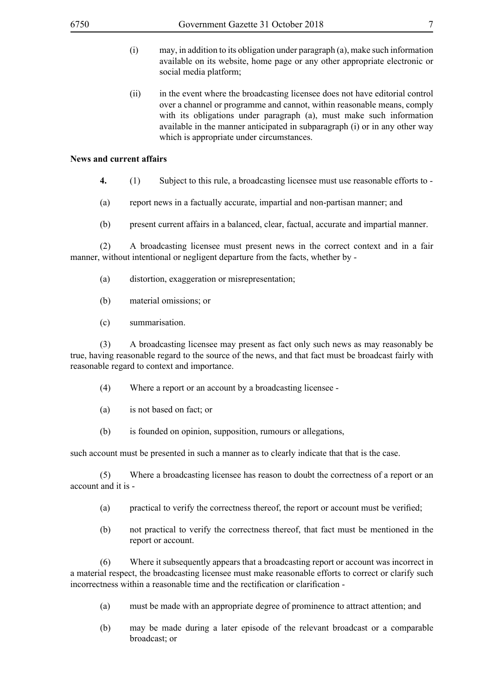- (i) may, in addition to its obligation under paragraph (a), make such information available on its website, home page or any other appropriate electronic or social media platform;
- (ii) in the event where the broadcasting licensee does not have editorial control over a channel or programme and cannot, within reasonable means, comply with its obligations under paragraph (a), must make such information available in the manner anticipated in subparagraph (i) or in any other way which is appropriate under circumstances.

#### **News and current affairs**

- **4.** (1) Subject to this rule, a broadcasting licensee must use reasonable efforts to -
- (a) report news in a factually accurate, impartial and non-partisan manner; and
- (b) present current affairs in a balanced, clear, factual, accurate and impartial manner.

(2) A broadcasting licensee must present news in the correct context and in a fair manner, without intentional or negligent departure from the facts, whether by -

- (a) distortion, exaggeration or misrepresentation;
- (b) material omissions; or
- (c) summarisation.

(3) A broadcasting licensee may present as fact only such news as may reasonably be true, having reasonable regard to the source of the news, and that fact must be broadcast fairly with reasonable regard to context and importance.

- (4) Where a report or an account by a broadcasting licensee -
- (a) is not based on fact; or
- (b) is founded on opinion, supposition, rumours or allegations,

such account must be presented in such a manner as to clearly indicate that that is the case.

(5) Where a broadcasting licensee has reason to doubt the correctness of a report or an account and it is -

- (a) practical to verify the correctness thereof, the report or account must be verified;
- (b) not practical to verify the correctness thereof, that fact must be mentioned in the report or account.

(6) Where it subsequently appears that a broadcasting report or account was incorrect in a material respect, the broadcasting licensee must make reasonable efforts to correct or clarify such incorrectness within a reasonable time and the rectification or clarification -

- (a) must be made with an appropriate degree of prominence to attract attention; and
- (b) may be made during a later episode of the relevant broadcast or a comparable broadcast; or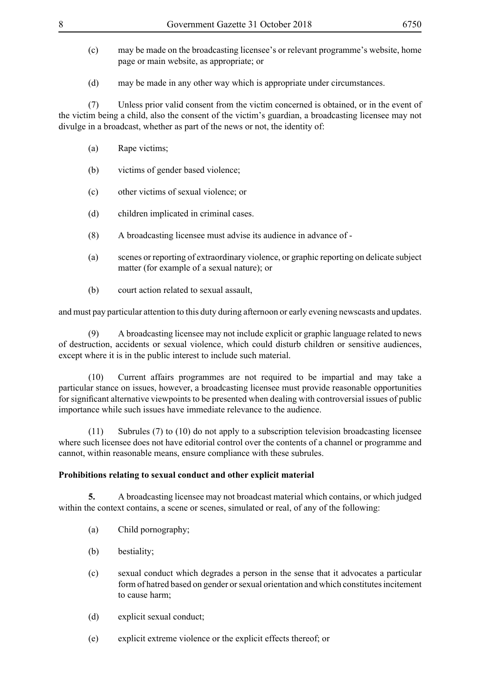- (c) may be made on the broadcasting licensee's or relevant programme's website, home page or main website, as appropriate; or
- (d) may be made in any other way which is appropriate under circumstances.

(7) Unless prior valid consent from the victim concerned is obtained, or in the event of the victim being a child, also the consent of the victim's guardian, a broadcasting licensee may not divulge in a broadcast, whether as part of the news or not, the identity of:

- (a) Rape victims;
- (b) victims of gender based violence;
- (c) other victims of sexual violence; or
- (d) children implicated in criminal cases.
- (8) A broadcasting licensee must advise its audience in advance of -
- (a) scenes or reporting of extraordinary violence, or graphic reporting on delicate subject matter (for example of a sexual nature); or
- (b) court action related to sexual assault,

and must pay particular attention to this duty during afternoon or early evening newscasts and updates.

(9) A broadcasting licensee may not include explicit or graphic language related to news of destruction, accidents or sexual violence, which could disturb children or sensitive audiences, except where it is in the public interest to include such material.

(10) Current affairs programmes are not required to be impartial and may take a particular stance on issues, however, a broadcasting licensee must provide reasonable opportunities for significant alternative viewpoints to be presented when dealing with controversial issues of public importance while such issues have immediate relevance to the audience.

(11) Subrules (7) to (10) do not apply to a subscription television broadcasting licensee where such licensee does not have editorial control over the contents of a channel or programme and cannot, within reasonable means, ensure compliance with these subrules.

# **Prohibitions relating to sexual conduct and other explicit material**

**5.** A broadcasting licensee may not broadcast material which contains, or which judged within the context contains, a scene or scenes, simulated or real, of any of the following:

- (a) Child pornography;
- (b) bestiality;
- (c) sexual conduct which degrades a person in the sense that it advocates a particular form of hatred based on gender or sexual orientation and which constitutes incitement to cause harm;
- (d) explicit sexual conduct;
- (e) explicit extreme violence or the explicit effects thereof; or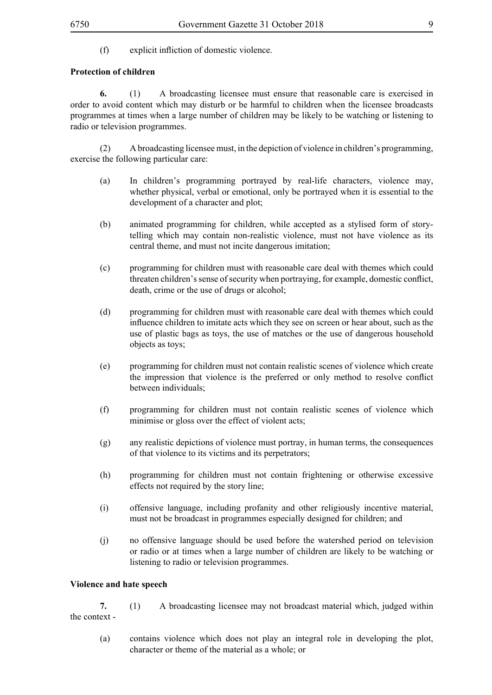(f) explicit infliction of domestic violence.

#### **Protection of children**

**6.** (1) A broadcasting licensee must ensure that reasonable care is exercised in order to avoid content which may disturb or be harmful to children when the licensee broadcasts programmes at times when a large number of children may be likely to be watching or listening to radio or television programmes.

(2) A broadcasting licensee must, in the depiction of violence in children's programming, exercise the following particular care:

- (a) In children's programming portrayed by real-life characters, violence may, whether physical, verbal or emotional, only be portrayed when it is essential to the development of a character and plot;
- (b) animated programming for children, while accepted as a stylised form of storytelling which may contain non-realistic violence, must not have violence as its central theme, and must not incite dangerous imitation;
- (c) programming for children must with reasonable care deal with themes which could threaten children's sense of security when portraying, for example, domestic conflict, death, crime or the use of drugs or alcohol;
- (d) programming for children must with reasonable care deal with themes which could influence children to imitate acts which they see on screen or hear about, such as the use of plastic bags as toys, the use of matches or the use of dangerous household objects as toys;
- (e) programming for children must not contain realistic scenes of violence which create the impression that violence is the preferred or only method to resolve conflict between individuals;
- (f) programming for children must not contain realistic scenes of violence which minimise or gloss over the effect of violent acts;
- (g) any realistic depictions of violence must portray, in human terms, the consequences of that violence to its victims and its perpetrators;
- (h) programming for children must not contain frightening or otherwise excessive effects not required by the story line;
- (i) offensive language, including profanity and other religiously incentive material, must not be broadcast in programmes especially designed for children; and
- (j) no offensive language should be used before the watershed period on television or radio or at times when a large number of children are likely to be watching or listening to radio or television programmes.

#### **Violence and hate speech**

**7.** (1) A broadcasting licensee may not broadcast material which, judged within the context -

(a) contains violence which does not play an integral role in developing the plot, character or theme of the material as a whole; or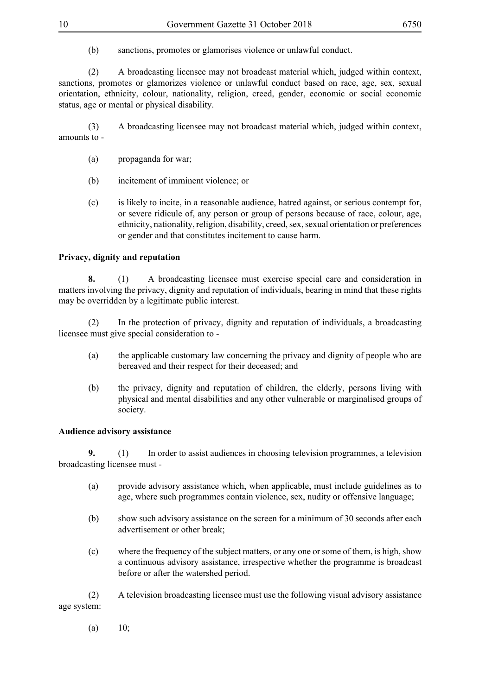(2) A broadcasting licensee may not broadcast material which, judged within context, sanctions, promotes or glamorizes violence or unlawful conduct based on race, age, sex, sexual orientation, ethnicity, colour, nationality, religion, creed, gender, economic or social economic status, age or mental or physical disability.

(3) A broadcasting licensee may not broadcast material which, judged within context, amounts to -

- (a) propaganda for war;
- (b) incitement of imminent violence; or
- (c) is likely to incite, in a reasonable audience, hatred against, or serious contempt for, or severe ridicule of, any person or group of persons because of race, colour, age, ethnicity, nationality, religion, disability, creed, sex, sexual orientation or preferences or gender and that constitutes incitement to cause harm.

#### **Privacy, dignity and reputation**

**8.** (1) A broadcasting licensee must exercise special care and consideration in matters involving the privacy, dignity and reputation of individuals, bearing in mind that these rights may be overridden by a legitimate public interest.

(2) In the protection of privacy, dignity and reputation of individuals, a broadcasting licensee must give special consideration to -

- (a) the applicable customary law concerning the privacy and dignity of people who are bereaved and their respect for their deceased; and
- (b) the privacy, dignity and reputation of children, the elderly, persons living with physical and mental disabilities and any other vulnerable or marginalised groups of society.

#### **Audience advisory assistance**

**9.** (1) In order to assist audiences in choosing television programmes, a television broadcasting licensee must -

- (a) provide advisory assistance which, when applicable, must include guidelines as to age, where such programmes contain violence, sex, nudity or offensive language;
- (b) show such advisory assistance on the screen for a minimum of 30 seconds after each advertisement or other break;
- (c) where the frequency of the subject matters, or any one or some of them, is high, show a continuous advisory assistance, irrespective whether the programme is broadcast before or after the watershed period.

(2) A television broadcasting licensee must use the following visual advisory assistance age system:

(a)  $10$ ;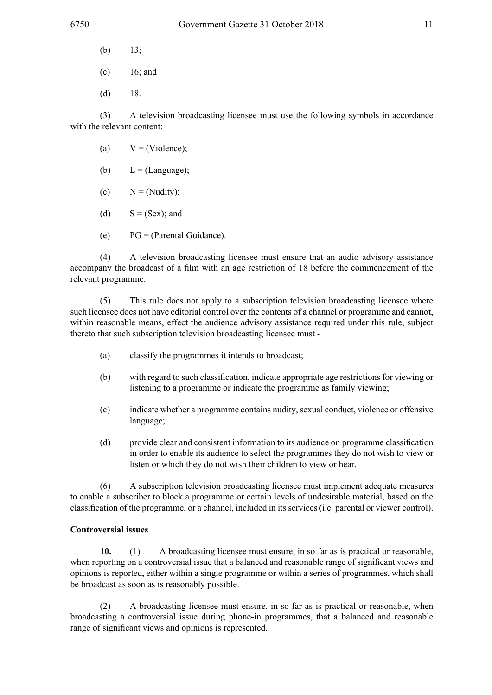- (b)  $13$ ;
- (c) 16; and
- $(d)$  18.

(3) A television broadcasting licensee must use the following symbols in accordance with the relevant content:

- (a)  $V = (Violence)$ ;
- (b)  $L = (Lanquase)$ ;
- (c)  $N = (Nudity);$
- (d)  $S = (Sex);$  and
- (e) PG = (Parental Guidance).

(4) A television broadcasting licensee must ensure that an audio advisory assistance accompany the broadcast of a film with an age restriction of 18 before the commencement of the relevant programme.

(5) This rule does not apply to a subscription television broadcasting licensee where such licensee does not have editorial control over the contents of a channel or programme and cannot, within reasonable means, effect the audience advisory assistance required under this rule, subject thereto that such subscription television broadcasting licensee must -

- (a) classify the programmes it intends to broadcast;
- (b) with regard to such classification, indicate appropriate age restrictions for viewing or listening to a programme or indicate the programme as family viewing;
- (c) indicate whether a programme contains nudity, sexual conduct, violence or offensive language;
- (d) provide clear and consistent information to its audience on programme classification in order to enable its audience to select the programmes they do not wish to view or listen or which they do not wish their children to view or hear.

(6) A subscription television broadcasting licensee must implement adequate measures to enable a subscriber to block a programme or certain levels of undesirable material, based on the classification of the programme, or a channel, included in its services (i.e. parental or viewer control).

#### **Controversial issues**

**10.** (1) A broadcasting licensee must ensure, in so far as is practical or reasonable, when reporting on a controversial issue that a balanced and reasonable range of significant views and opinions is reported, either within a single programme or within a series of programmes, which shall be broadcast as soon as is reasonably possible.

(2) A broadcasting licensee must ensure, in so far as is practical or reasonable, when broadcasting a controversial issue during phone-in programmes, that a balanced and reasonable range of significant views and opinions is represented.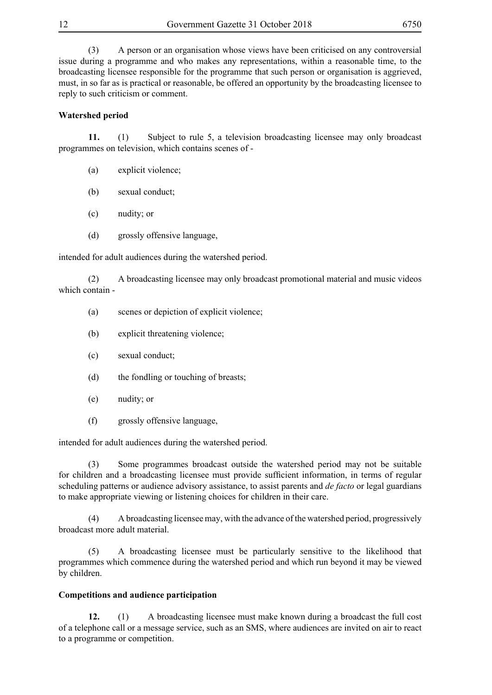| 6750<br>Government Gazette 31 October 2018 |
|--------------------------------------------|
|                                            |

(3) A person or an organisation whose views have been criticised on any controversial issue during a programme and who makes any representations, within a reasonable time, to the broadcasting licensee responsible for the programme that such person or organisation is aggrieved, must, in so far as is practical or reasonable, be offered an opportunity by the broadcasting licensee to reply to such criticism or comment.

# **Watershed period**

**11.** (1) Subject to rule 5, a television broadcasting licensee may only broadcast programmes on television, which contains scenes of -

- (a) explicit violence;
- (b) sexual conduct;
- (c) nudity; or
- (d) grossly offensive language,

intended for adult audiences during the watershed period.

(2) A broadcasting licensee may only broadcast promotional material and music videos which contain -

- (a) scenes or depiction of explicit violence;
- (b) explicit threatening violence;
- (c) sexual conduct;
- (d) the fondling or touching of breasts;
- (e) nudity; or
- (f) grossly offensive language,

intended for adult audiences during the watershed period.

(3) Some programmes broadcast outside the watershed period may not be suitable for children and a broadcasting licensee must provide sufficient information, in terms of regular scheduling patterns or audience advisory assistance, to assist parents and *de facto* or legal guardians to make appropriate viewing or listening choices for children in their care.

(4) A broadcasting licensee may, with the advance of the watershed period, progressively broadcast more adult material.

(5) A broadcasting licensee must be particularly sensitive to the likelihood that programmes which commence during the watershed period and which run beyond it may be viewed by children.

#### **Competitions and audience participation**

**12.** (1) A broadcasting licensee must make known during a broadcast the full cost of a telephone call or a message service, such as an SMS, where audiences are invited on air to react to a programme or competition.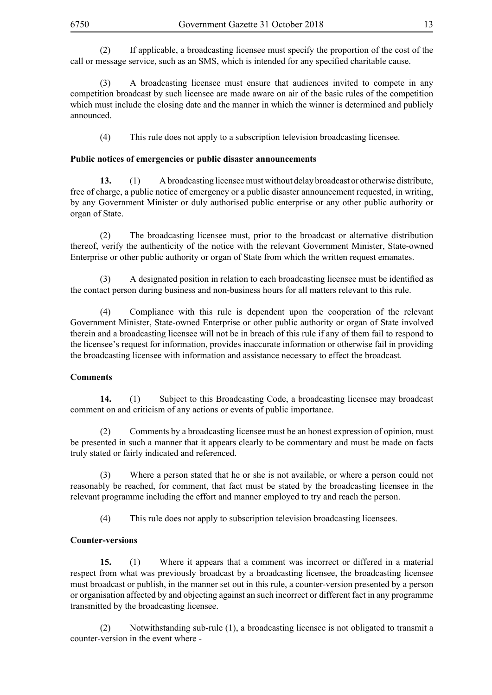(2) If applicable, a broadcasting licensee must specify the proportion of the cost of the call or message service, such as an SMS, which is intended for any specified charitable cause.

(3) A broadcasting licensee must ensure that audiences invited to compete in any competition broadcast by such licensee are made aware on air of the basic rules of the competition which must include the closing date and the manner in which the winner is determined and publicly announced.

(4) This rule does not apply to a subscription television broadcasting licensee.

#### **Public notices of emergencies or public disaster announcements**

**13.** (1) A broadcasting licensee must without delay broadcast or otherwise distribute, free of charge, a public notice of emergency or a public disaster announcement requested, in writing, by any Government Minister or duly authorised public enterprise or any other public authority or organ of State.

(2) The broadcasting licensee must, prior to the broadcast or alternative distribution thereof, verify the authenticity of the notice with the relevant Government Minister, State-owned Enterprise or other public authority or organ of State from which the written request emanates.

 (3) A designated position in relation to each broadcasting licensee must be identified as the contact person during business and non-business hours for all matters relevant to this rule.

(4) Compliance with this rule is dependent upon the cooperation of the relevant Government Minister, State-owned Enterprise or other public authority or organ of State involved therein and a broadcasting licensee will not be in breach of this rule if any of them fail to respond to the licensee's request for information, provides inaccurate information or otherwise fail in providing the broadcasting licensee with information and assistance necessary to effect the broadcast.

# **Comments**

**14.** (1) Subject to this Broadcasting Code, a broadcasting licensee may broadcast comment on and criticism of any actions or events of public importance.

(2) Comments by a broadcasting licensee must be an honest expression of opinion, must be presented in such a manner that it appears clearly to be commentary and must be made on facts truly stated or fairly indicated and referenced.

(3) Where a person stated that he or she is not available, or where a person could not reasonably be reached, for comment, that fact must be stated by the broadcasting licensee in the relevant programme including the effort and manner employed to try and reach the person.

(4) This rule does not apply to subscription television broadcasting licensees.

# **Counter-versions**

**15.** (1) Where it appears that a comment was incorrect or differed in a material respect from what was previously broadcast by a broadcasting licensee, the broadcasting licensee must broadcast or publish, in the manner set out in this rule, a counter-version presented by a person or organisation affected by and objecting against an such incorrect or different fact in any programme transmitted by the broadcasting licensee.

(2) Notwithstanding sub-rule (1), a broadcasting licensee is not obligated to transmit a counter-version in the event where -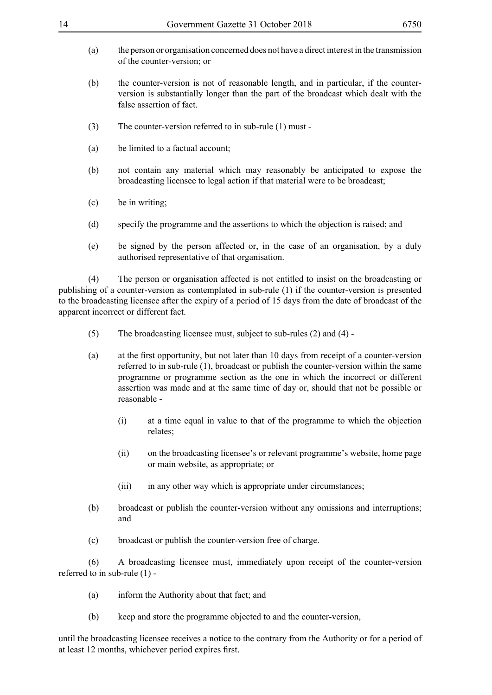| 14  | Government Gazette 31 October 2018                                                                                                                                                                                                                                                                                                                                    | 6750 |
|-----|-----------------------------------------------------------------------------------------------------------------------------------------------------------------------------------------------------------------------------------------------------------------------------------------------------------------------------------------------------------------------|------|
| (a) | the person or organisation concerned does not have a direct interest in the transmission<br>of the counter-version; or                                                                                                                                                                                                                                                |      |
| (b) | the counter-version is not of reasonable length, and in particular, if the counter-<br>version is substantially longer than the part of the broadcast which dealt with the<br>false assertion of fact.                                                                                                                                                                |      |
| (3) | The counter-version referred to in sub-rule (1) must -                                                                                                                                                                                                                                                                                                                |      |
| (a) | be limited to a factual account;                                                                                                                                                                                                                                                                                                                                      |      |
| (b) | not contain any material which may reasonably be anticipated to expose the<br>broadcasting licensee to legal action if that material were to be broadcast;                                                                                                                                                                                                            |      |
| (c) | be in writing;                                                                                                                                                                                                                                                                                                                                                        |      |
| (d) | specify the programme and the assertions to which the objection is raised; and                                                                                                                                                                                                                                                                                        |      |
| (e) | be signed by the person affected or, in the case of an organisation, by a duly<br>authorised representative of that organisation.                                                                                                                                                                                                                                     |      |
| (4) | The person or organisation affected is not entitled to insist on the broadcasting or<br>publishing of a counter-version as contemplated in sub-rule (1) if the counter-version is presented<br>to the broadcasting licensee after the expiry of a period of 15 days from the date of broadcast of the<br>apparent incorrect or different fact.                        |      |
| (5) | The broadcasting licensee must, subject to sub-rules $(2)$ and $(4)$ -                                                                                                                                                                                                                                                                                                |      |
| (a) | at the first opportunity, but not later than 10 days from receipt of a counter-version<br>referred to in sub-rule (1), broadcast or publish the counter-version within the same<br>programme or programme section as the one in which the incorrect or different<br>assertion was made and at the same time of day or, should that not be possible or<br>reasonable - |      |
|     | at a time equal in value to that of the programme to which the objection<br>(i)<br>relates;                                                                                                                                                                                                                                                                           |      |
|     | on the broadcasting licensee's or relevant programme's website, home page<br>(ii)<br>or main website, as appropriate; or                                                                                                                                                                                                                                              |      |
|     | in any other way which is appropriate under circumstances;<br>(iii)                                                                                                                                                                                                                                                                                                   |      |
| (b) | broadcast or publish the counter-version without any omissions and interruptions;<br>and                                                                                                                                                                                                                                                                              |      |
| (c) | broadcast or publish the counter-version free of charge.                                                                                                                                                                                                                                                                                                              |      |
| (6) | A broadcasting licensee must, immediately upon receipt of the counter-version                                                                                                                                                                                                                                                                                         |      |

h broadcasting licensee must, immediately upon receipt of the counter-version  $(6)$  A producted to in sub-rule  $(1)$  -

- (a) inform the Authority about that fact; and
- (b) keep and store the programme objected to and the counter-version,

until the broadcasting licensee receives a notice to the contrary from the Authority or for a period of at least 12 months, whichever period expires first.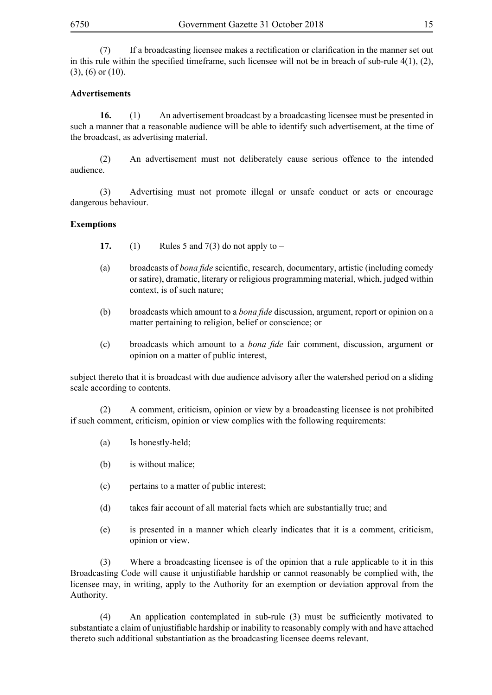(7) If a broadcasting licensee makes a rectification or clarification in the manner set out in this rule within the specified timeframe, such licensee will not be in breach of sub-rule 4(1), (2), (3), (6) or (10).

#### **Advertisements**

**16.** (1) An advertisement broadcast by a broadcasting licensee must be presented in such a manner that a reasonable audience will be able to identify such advertisement, at the time of the broadcast, as advertising material.

(2) An advertisement must not deliberately cause serious offence to the intended audience.

(3) Advertising must not promote illegal or unsafe conduct or acts or encourage dangerous behaviour.

#### **Exemptions**

- **17.** (1) Rules 5 and  $7(3)$  do not apply to –
- (a) broadcasts of *bona fide* scientific, research, documentary, artistic (including comedy or satire), dramatic, literary or religious programming material, which, judged within context, is of such nature;
- (b) broadcasts which amount to a *bona fide* discussion, argument, report or opinion on a matter pertaining to religion, belief or conscience; or
- (c) broadcasts which amount to a *bona fide* fair comment, discussion, argument or opinion on a matter of public interest,

subject thereto that it is broadcast with due audience advisory after the watershed period on a sliding scale according to contents.

(2) A comment, criticism, opinion or view by a broadcasting licensee is not prohibited if such comment, criticism, opinion or view complies with the following requirements:

- (a) Is honestly-held;
- (b) is without malice;
- (c) pertains to a matter of public interest;
- (d) takes fair account of all material facts which are substantially true; and
- (e) is presented in a manner which clearly indicates that it is a comment, criticism, opinion or view.

(3) Where a broadcasting licensee is of the opinion that a rule applicable to it in this Broadcasting Code will cause it unjustifiable hardship or cannot reasonably be complied with, the licensee may, in writing, apply to the Authority for an exemption or deviation approval from the Authority.

 (4) An application contemplated in sub-rule (3) must be sufficiently motivated to substantiate a claim of unjustifiable hardship or inability to reasonably comply with and have attached thereto such additional substantiation as the broadcasting licensee deems relevant.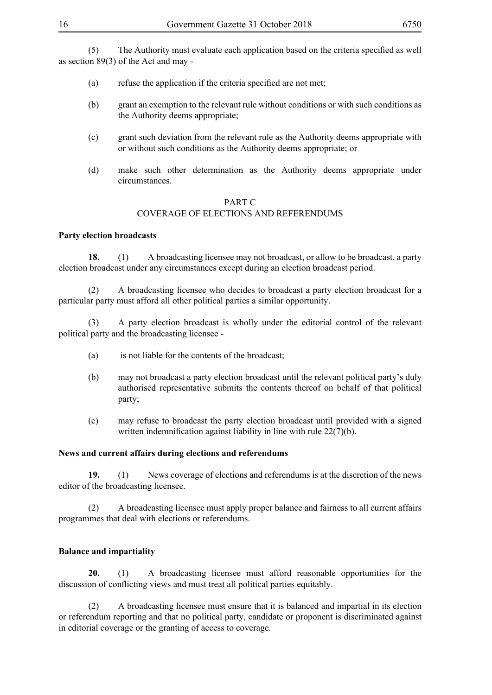(5) The Authority must evaluate each application based on the criteria specified as well as section 89(3) of the Act and may -

- (a) refuse the application if the criteria specified are not met;
- (b) grant an exemption to the relevant rule without conditions or with such conditions as the Authority deems appropriate;
- (c) grant such deviation from the relevant rule as the Authority deems appropriate with or without such conditions as the Authority deems appropriate; or
- (d) make such other determination as the Authority deems appropriate under circumstances.

#### PART C

#### COVERAGE OF ELECTIONS AND REFERENDUMS

#### **Party election broadcasts**

**18.** (1) A broadcasting licensee may not broadcast, or allow to be broadcast, a party election broadcast under any circumstances except during an election broadcast period.

(2) A broadcasting licensee who decides to broadcast a party election broadcast for a particular party must afford all other political parties a similar opportunity.

(3) A party election broadcast is wholly under the editorial control of the relevant political party and the broadcasting licensee -

- (a) is not liable for the contents of the broadcast;
- (b) may not broadcast a party election broadcast until the relevant political party's duly authorised representative submits the contents thereof on behalf of that political party;
- (c) may refuse to broadcast the party election broadcast until provided with a signed written indemnification against liability in line with rule 22(7)(b).

#### **News and current affairs during elections and referendums**

**19.** (1) News coverage of elections and referendums is at the discretion of the news editor of the broadcasting licensee.

(2) A broadcasting licensee must apply proper balance and fairness to all current affairs programmes that deal with elections or referendums.

#### **Balance and impartiality**

**20.** (1) A broadcasting licensee must afford reasonable opportunities for the discussion of conflicting views and must treat all political parties equitably.

(2) A broadcasting licensee must ensure that it is balanced and impartial in its election or referendum reporting and that no political party, candidate or proponent is discriminated against in editorial coverage or the granting of access to coverage.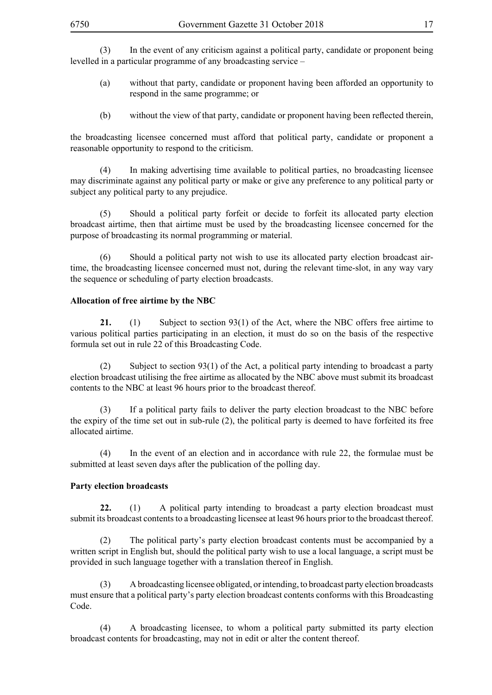(3) In the event of any criticism against a political party, candidate or proponent being levelled in a particular programme of any broadcasting service –

- (a) without that party, candidate or proponent having been afforded an opportunity to respond in the same programme; or
- (b) without the view of that party, candidate or proponent having been reflected therein,

the broadcasting licensee concerned must afford that political party, candidate or proponent a reasonable opportunity to respond to the criticism.

(4) In making advertising time available to political parties, no broadcasting licensee may discriminate against any political party or make or give any preference to any political party or subject any political party to any prejudice.

(5) Should a political party forfeit or decide to forfeit its allocated party election broadcast airtime, then that airtime must be used by the broadcasting licensee concerned for the purpose of broadcasting its normal programming or material.

(6) Should a political party not wish to use its allocated party election broadcast airtime, the broadcasting licensee concerned must not, during the relevant time-slot, in any way vary the sequence or scheduling of party election broadcasts.

#### **Allocation of free airtime by the NBC**

**21.** (1) Subject to section 93(1) of the Act, where the NBC offers free airtime to various political parties participating in an election, it must do so on the basis of the respective formula set out in rule 22 of this Broadcasting Code.

(2) Subject to section 93(1) of the Act, a political party intending to broadcast a party election broadcast utilising the free airtime as allocated by the NBC above must submit its broadcast contents to the NBC at least 96 hours prior to the broadcast thereof.

(3) If a political party fails to deliver the party election broadcast to the NBC before the expiry of the time set out in sub-rule (2), the political party is deemed to have forfeited its free allocated airtime.

(4) In the event of an election and in accordance with rule 22, the formulae must be submitted at least seven days after the publication of the polling day.

#### **Party election broadcasts**

**22.** (1) A political party intending to broadcast a party election broadcast must submit its broadcast contents to a broadcasting licensee at least 96 hours prior to the broadcast thereof.

(2) The political party's party election broadcast contents must be accompanied by a written script in English but, should the political party wish to use a local language, a script must be provided in such language together with a translation thereof in English.

(3) A broadcasting licensee obligated, or intending, to broadcast party election broadcasts must ensure that a political party's party election broadcast contents conforms with this Broadcasting Code.

(4) A broadcasting licensee, to whom a political party submitted its party election broadcast contents for broadcasting, may not in edit or alter the content thereof.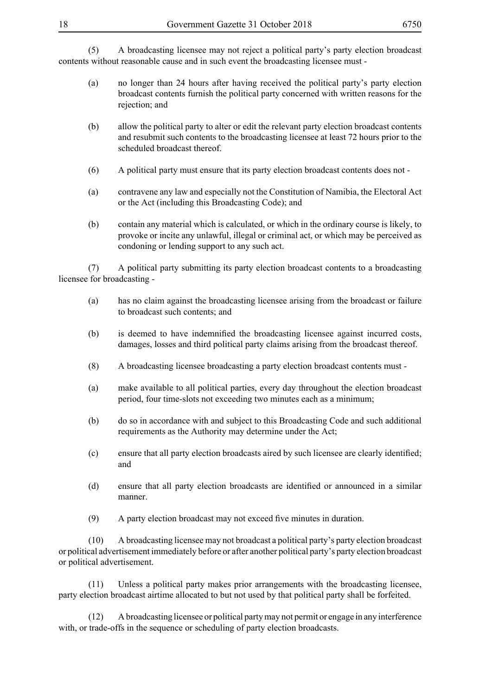(5) A broadcasting licensee may not reject a political party's party election broadcast contents without reasonable cause and in such event the broadcasting licensee must -

- (a) no longer than 24 hours after having received the political party's party election broadcast contents furnish the political party concerned with written reasons for the rejection; and
- (b) allow the political party to alter or edit the relevant party election broadcast contents and resubmit such contents to the broadcasting licensee at least 72 hours prior to the scheduled broadcast thereof.
- (6) A political party must ensure that its party election broadcast contents does not -
- (a) contravene any law and especially not the Constitution of Namibia, the Electoral Act or the Act (including this Broadcasting Code); and
- (b) contain any material which is calculated, or which in the ordinary course is likely, to provoke or incite any unlawful, illegal or criminal act, or which may be perceived as condoning or lending support to any such act.

(7) A political party submitting its party election broadcast contents to a broadcasting licensee for broadcasting -

- (a) has no claim against the broadcasting licensee arising from the broadcast or failure to broadcast such contents; and
- (b) is deemed to have indemnified the broadcasting licensee against incurred costs, damages, losses and third political party claims arising from the broadcast thereof.
- (8) A broadcasting licensee broadcasting a party election broadcast contents must -
- (a) make available to all political parties, every day throughout the election broadcast period, four time-slots not exceeding two minutes each as a minimum;
- (b) do so in accordance with and subject to this Broadcasting Code and such additional requirements as the Authority may determine under the Act;
- (c) ensure that all party election broadcasts aired by such licensee are clearly identified; and
- (d) ensure that all party election broadcasts are identified or announced in a similar manner.
- (9) A party election broadcast may not exceed five minutes in duration.

(10) A broadcasting licensee may not broadcast a political party's party election broadcast or political advertisement immediately before or after another political party's party election broadcast or political advertisement.

(11) Unless a political party makes prior arrangements with the broadcasting licensee, party election broadcast airtime allocated to but not used by that political party shall be forfeited.

(12) A broadcasting licensee or political party may not permit or engage in any interference with, or trade-offs in the sequence or scheduling of party election broadcasts.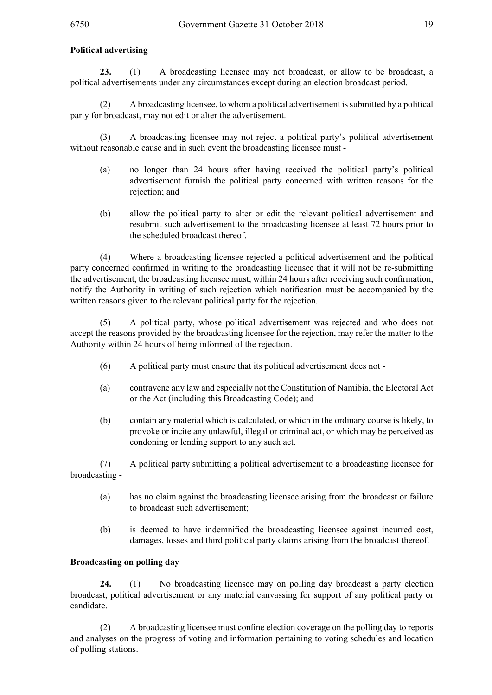### **Political advertising**

**23.** (1) A broadcasting licensee may not broadcast, or allow to be broadcast, a political advertisements under any circumstances except during an election broadcast period.

(2) A broadcasting licensee, to whom a political advertisement is submitted by a political party for broadcast, may not edit or alter the advertisement.

(3) A broadcasting licensee may not reject a political party's political advertisement without reasonable cause and in such event the broadcasting licensee must -

- (a) no longer than 24 hours after having received the political party's political advertisement furnish the political party concerned with written reasons for the rejection; and
- (b) allow the political party to alter or edit the relevant political advertisement and resubmit such advertisement to the broadcasting licensee at least 72 hours prior to the scheduled broadcast thereof.

(4) Where a broadcasting licensee rejected a political advertisement and the political party concerned confirmed in writing to the broadcasting licensee that it will not be re-submitting the advertisement, the broadcasting licensee must, within 24 hours after receiving such confirmation, notify the Authority in writing of such rejection which notification must be accompanied by the written reasons given to the relevant political party for the rejection.

(5) A political party, whose political advertisement was rejected and who does not accept the reasons provided by the broadcasting licensee for the rejection, may refer the matter to the Authority within 24 hours of being informed of the rejection.

- (6) A political party must ensure that its political advertisement does not -
- (a) contravene any law and especially not the Constitution of Namibia, the Electoral Act or the Act (including this Broadcasting Code); and
- (b) contain any material which is calculated, or which in the ordinary course is likely, to provoke or incite any unlawful, illegal or criminal act, or which may be perceived as condoning or lending support to any such act.

(7) A political party submitting a political advertisement to a broadcasting licensee for broadcasting -

- (a) has no claim against the broadcasting licensee arising from the broadcast or failure to broadcast such advertisement;
- (b) is deemed to have indemnified the broadcasting licensee against incurred cost, damages, losses and third political party claims arising from the broadcast thereof.

#### **Broadcasting on polling day**

**24.** (1) No broadcasting licensee may on polling day broadcast a party election broadcast, political advertisement or any material canvassing for support of any political party or candidate.

 (2) A broadcasting licensee must confine election coverage on the polling day to reports and analyses on the progress of voting and information pertaining to voting schedules and location of polling stations.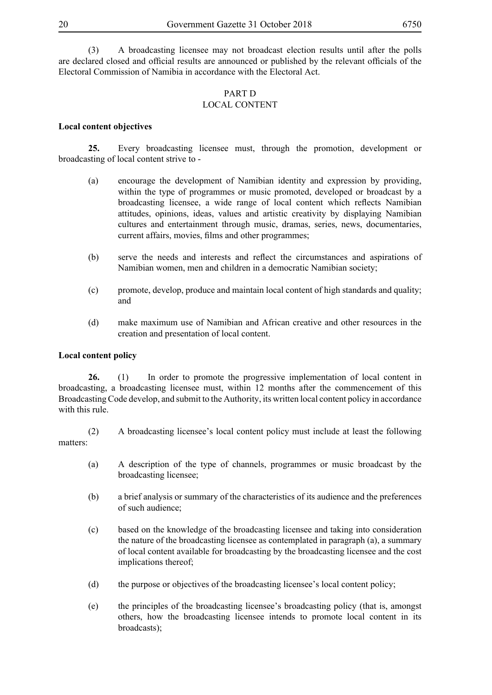(3) A broadcasting licensee may not broadcast election results until after the polls are declared closed and official results are announced or published by the relevant officials of the Electoral Commission of Namibia in accordance with the Electoral Act.

#### PART D LOCAL CONTENT

#### **Local content objectives**

**25.** Every broadcasting licensee must, through the promotion, development or broadcasting of local content strive to -

- (a) encourage the development of Namibian identity and expression by providing, within the type of programmes or music promoted, developed or broadcast by a broadcasting licensee, a wide range of local content which reflects Namibian attitudes, opinions, ideas, values and artistic creativity by displaying Namibian cultures and entertainment through music, dramas, series, news, documentaries, current affairs, movies, films and other programmes;
- (b) serve the needs and interests and reflect the circumstances and aspirations of Namibian women, men and children in a democratic Namibian society;
- (c) promote, develop, produce and maintain local content of high standards and quality; and
- (d) make maximum use of Namibian and African creative and other resources in the creation and presentation of local content.

#### **Local content policy**

**26.** (1) In order to promote the progressive implementation of local content in broadcasting, a broadcasting licensee must, within 12 months after the commencement of this Broadcasting Code develop, and submit to the Authority, its written local content policy in accordance with this rule.

(2) A broadcasting licensee's local content policy must include at least the following matters:

- (a) A description of the type of channels, programmes or music broadcast by the broadcasting licensee;
- (b) a brief analysis or summary of the characteristics of its audience and the preferences of such audience;
- (c) based on the knowledge of the broadcasting licensee and taking into consideration the nature of the broadcasting licensee as contemplated in paragraph (a), a summary of local content available for broadcasting by the broadcasting licensee and the cost implications thereof;
- (d) the purpose or objectives of the broadcasting licensee's local content policy;
- (e) the principles of the broadcasting licensee's broadcasting policy (that is, amongst others, how the broadcasting licensee intends to promote local content in its broadcasts);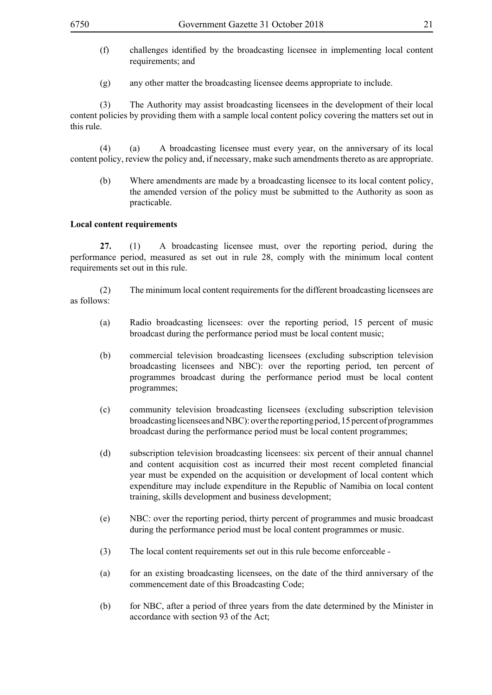- (f) challenges identified by the broadcasting licensee in implementing local content requirements; and
- (g) any other matter the broadcasting licensee deems appropriate to include.

(3) The Authority may assist broadcasting licensees in the development of their local content policies by providing them with a sample local content policy covering the matters set out in this rule.

(4) (a) A broadcasting licensee must every year, on the anniversary of its local content policy, review the policy and, if necessary, make such amendments thereto as are appropriate.

(b) Where amendments are made by a broadcasting licensee to its local content policy, the amended version of the policy must be submitted to the Authority as soon as practicable.

#### **Local content requirements**

**27.** (1) A broadcasting licensee must, over the reporting period, during the performance period, measured as set out in rule 28, comply with the minimum local content requirements set out in this rule.

(2) The minimum local content requirements for the different broadcasting licensees are as follows:

- (a) Radio broadcasting licensees: over the reporting period, 15 percent of music broadcast during the performance period must be local content music;
- (b) commercial television broadcasting licensees (excluding subscription television broadcasting licensees and NBC): over the reporting period, ten percent of programmes broadcast during the performance period must be local content programmes;
- (c) community television broadcasting licensees (excluding subscription television broadcasting licensees and NBC): over the reporting period, 15 percent of programmes broadcast during the performance period must be local content programmes;
- (d) subscription television broadcasting licensees: six percent of their annual channel and content acquisition cost as incurred their most recent completed financial year must be expended on the acquisition or development of local content which expenditure may include expenditure in the Republic of Namibia on local content training, skills development and business development;
- (e) NBC: over the reporting period, thirty percent of programmes and music broadcast during the performance period must be local content programmes or music.
- (3) The local content requirements set out in this rule become enforceable -
- (a) for an existing broadcasting licensees, on the date of the third anniversary of the commencement date of this Broadcasting Code;
- (b) for NBC, after a period of three years from the date determined by the Minister in accordance with section 93 of the Act;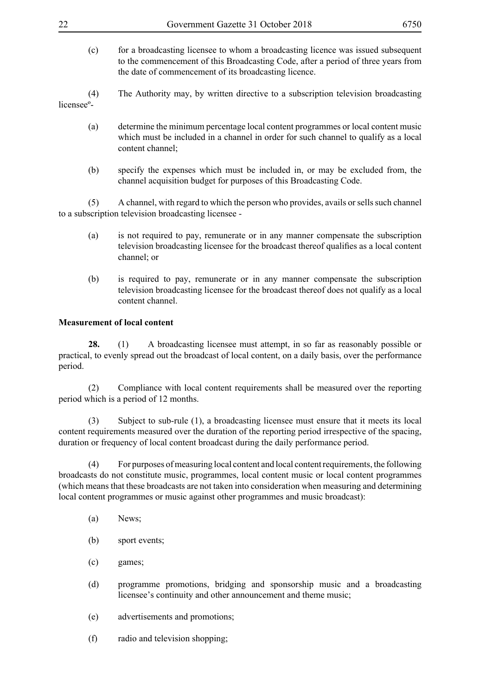| 22                      |     | Government Gazette 31 October 2018                                                                                                                                                                                                                                                                                                                                                 | 6750 |
|-------------------------|-----|------------------------------------------------------------------------------------------------------------------------------------------------------------------------------------------------------------------------------------------------------------------------------------------------------------------------------------------------------------------------------------|------|
|                         | (c) | for a broadcasting licensee to whom a broadcasting licence was issued subsequent<br>to the commencement of this Broadcasting Code, after a period of three years from<br>the date of commencement of its broadcasting licence.                                                                                                                                                     |      |
| licensee <sup>o</sup> - | (4) | The Authority may, by written directive to a subscription television broadcasting                                                                                                                                                                                                                                                                                                  |      |
|                         | (a) | determine the minimum percentage local content programmes or local content music<br>which must be included in a channel in order for such channel to qualify as a local<br>content channel;                                                                                                                                                                                        |      |
|                         | (b) | specify the expenses which must be included in, or may be excluded from, the<br>channel acquisition budget for purposes of this Broadcasting Code.                                                                                                                                                                                                                                 |      |
|                         | (5) | A channel, with regard to which the person who provides, avails or sells such channel<br>to a subscription television broadcasting licensee -                                                                                                                                                                                                                                      |      |
|                         | (a) | is not required to pay, remunerate or in any manner compensate the subscription<br>television broadcasting licensee for the broadcast thereof qualifies as a local content<br>channel; or                                                                                                                                                                                          |      |
|                         | (b) | is required to pay, remunerate or in any manner compensate the subscription<br>television broadcasting licensee for the broadcast thereof does not qualify as a local<br>content channel.                                                                                                                                                                                          |      |
|                         |     | <b>Measurement of local content</b>                                                                                                                                                                                                                                                                                                                                                |      |
| period.                 | 28. | A broadcasting licensee must attempt, in so far as reasonably possible or<br>(1)<br>practical, to evenly spread out the broadcast of local content, on a daily basis, over the performance                                                                                                                                                                                         |      |
|                         | (2) | Compliance with local content requirements shall be measured over the reporting<br>period which is a period of 12 months.                                                                                                                                                                                                                                                          |      |
|                         | (3) | Subject to sub-rule (1), a broadcasting licensee must ensure that it meets its local<br>content requirements measured over the duration of the reporting period irrespective of the spacing,<br>duration or frequency of local content broadcast during the daily performance period.                                                                                              |      |
|                         | (4) | For purposes of measuring local content and local content requirements, the following<br>broadcasts do not constitute music, programmes, local content music or local content programmes<br>(which means that these broadcasts are not taken into consideration when measuring and determining<br>local content programmes or music against other programmes and music broadcast): |      |
|                         | (a) | News;                                                                                                                                                                                                                                                                                                                                                                              |      |
|                         | (b) | sport events;                                                                                                                                                                                                                                                                                                                                                                      |      |

- (c) games;
- (d) programme promotions, bridging and sponsorship music and a broadcasting licensee's continuity and other announcement and theme music;
- (e) advertisements and promotions;
- (f) radio and television shopping;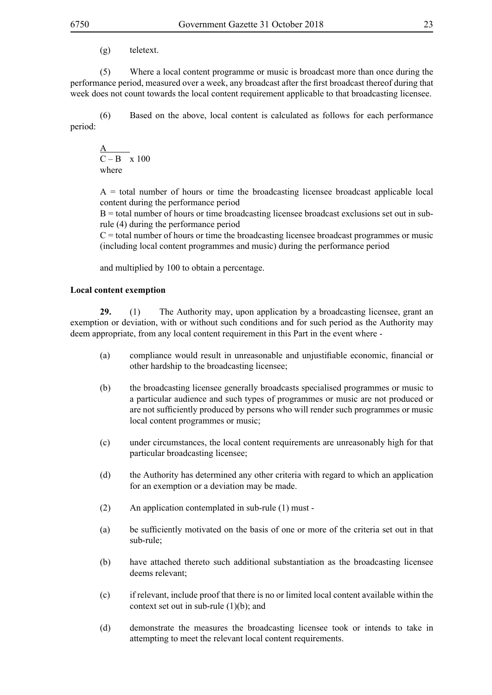(g) teletext.

(5) Where a local content programme or music is broadcast more than once during the performance period, measured over a week, any broadcast after the first broadcast thereof during that week does not count towards the local content requirement applicable to that broadcasting licensee.

(6) Based on the above, local content is calculated as follows for each performance period:

$$
\frac{A}{C - B} \times 100
$$
where

 $A =$  total number of hours or time the broadcasting licensee broadcast applicable local content during the performance period

 $B =$  total number of hours or time broadcasting licensee broadcast exclusions set out in subrule (4) during the performance period

 $C =$  total number of hours or time the broadcasting licensee broadcast programmes or music (including local content programmes and music) during the performance period

and multiplied by 100 to obtain a percentage.

#### **Local content exemption**

**29.** (1) The Authority may, upon application by a broadcasting licensee, grant an exemption or deviation, with or without such conditions and for such period as the Authority may deem appropriate, from any local content requirement in this Part in the event where -

- (a) compliance would result in unreasonable and unjustifiable economic, financial or other hardship to the broadcasting licensee;
- (b) the broadcasting licensee generally broadcasts specialised programmes or music to a particular audience and such types of programmes or music are not produced or are not sufficiently produced by persons who will render such programmes or music local content programmes or music;
- (c) under circumstances, the local content requirements are unreasonably high for that particular broadcasting licensee;
- (d) the Authority has determined any other criteria with regard to which an application for an exemption or a deviation may be made.
- (2) An application contemplated in sub-rule (1) must -
- (a) be sufficiently motivated on the basis of one or more of the criteria set out in that sub-rule;
- (b) have attached thereto such additional substantiation as the broadcasting licensee deems relevant;
- (c) if relevant, include proof that there is no or limited local content available within the context set out in sub-rule (1)(b); and
- (d) demonstrate the measures the broadcasting licensee took or intends to take in attempting to meet the relevant local content requirements.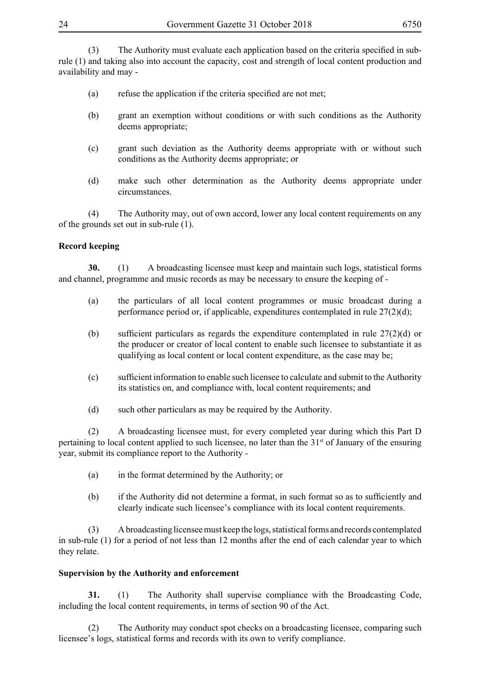(3) The Authority must evaluate each application based on the criteria specified in subrule (1) and taking also into account the capacity, cost and strength of local content production and availability and may -

- (a) refuse the application if the criteria specified are not met;
- (b) grant an exemption without conditions or with such conditions as the Authority deems appropriate;
- (c) grant such deviation as the Authority deems appropriate with or without such conditions as the Authority deems appropriate; or
- (d) make such other determination as the Authority deems appropriate under circumstances.

(4) The Authority may, out of own accord, lower any local content requirements on any of the grounds set out in sub-rule (1).

#### **Record keeping**

**30.** (1) A broadcasting licensee must keep and maintain such logs, statistical forms and channel, programme and music records as may be necessary to ensure the keeping of -

- (a) the particulars of all local content programmes or music broadcast during a performance period or, if applicable, expenditures contemplated in rule  $27(2)(d)$ ;
- (b) sufficient particulars as regards the expenditure contemplated in rule  $27(2)(d)$  or the producer or creator of local content to enable such licensee to substantiate it as qualifying as local content or local content expenditure, as the case may be;
- (c) sufficient information to enable such licensee to calculate and submit to the Authority its statistics on, and compliance with, local content requirements; and
- (d) such other particulars as may be required by the Authority.

(2) A broadcasting licensee must, for every completed year during which this Part D pertaining to local content applied to such licensee, no later than the 31<sup>st</sup> of January of the ensuring year, submit its compliance report to the Authority -

- (a) in the format determined by the Authority; or
- (b) if the Authority did not determine a format, in such format so as to sufficiently and clearly indicate such licensee's compliance with its local content requirements.

(3) A broadcasting licensee must keep the logs, statistical forms and records contemplated in sub-rule (1) for a period of not less than 12 months after the end of each calendar year to which they relate.

#### **Supervision by the Authority and enforcement**

**31.** (1) The Authority shall supervise compliance with the Broadcasting Code, including the local content requirements, in terms of section 90 of the Act.

(2) The Authority may conduct spot checks on a broadcasting licensee, comparing such licensee's logs, statistical forms and records with its own to verify compliance.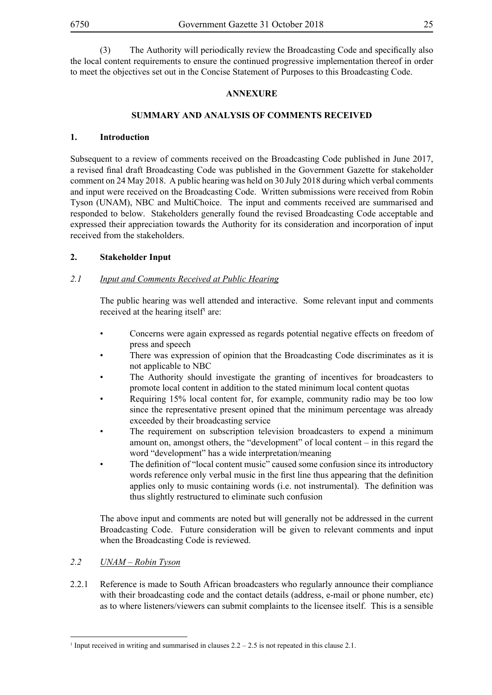(3) The Authority will periodically review the Broadcasting Code and specifically also the local content requirements to ensure the continued progressive implementation thereof in order to meet the objectives set out in the Concise Statement of Purposes to this Broadcasting Code.

#### **ANNEXURE**

### **SUMMARY AND ANALYSIS OF COMMENTS RECEIVED**

#### **1. Introduction**

Subsequent to a review of comments received on the Broadcasting Code published in June 2017, a revised final draft Broadcasting Code was published in the Government Gazette for stakeholder comment on 24 May 2018. A public hearing was held on 30 July 2018 during which verbal comments and input were received on the Broadcasting Code. Written submissions were received from Robin Tyson (UNAM), NBC and MultiChoice. The input and comments received are summarised and responded to below. Stakeholders generally found the revised Broadcasting Code acceptable and expressed their appreciation towards the Authority for its consideration and incorporation of input received from the stakeholders.

#### **2. Stakeholder Input**

#### *2.1 Input and Comments Received at Public Hearing*

The public hearing was well attended and interactive. Some relevant input and comments received at the hearing itself<sup>1</sup> are:

- Concerns were again expressed as regards potential negative effects on freedom of press and speech
- There was expression of opinion that the Broadcasting Code discriminates as it is not applicable to NBC
- The Authority should investigate the granting of incentives for broadcasters to promote local content in addition to the stated minimum local content quotas
- Requiring 15% local content for, for example, community radio may be too low since the representative present opined that the minimum percentage was already exceeded by their broadcasting service
- The requirement on subscription television broadcasters to expend a minimum amount on, amongst others, the "development" of local content – in this regard the word "development" has a wide interpretation/meaning
- The definition of "local content music" caused some confusion since its introductory words reference only verbal music in the first line thus appearing that the definition applies only to music containing words (i.e. not instrumental). The definition was thus slightly restructured to eliminate such confusion

The above input and comments are noted but will generally not be addressed in the current Broadcasting Code. Future consideration will be given to relevant comments and input when the Broadcasting Code is reviewed.

# *2.2 UNAM – Robin Tyson*

2.2.1 Reference is made to South African broadcasters who regularly announce their compliance with their broadcasting code and the contact details (address, e-mail or phone number, etc) as to where listeners/viewers can submit complaints to the licensee itself. This is a sensible

Input received in writing and summarised in clauses  $2.2 - 2.5$  is not repeated in this clause 2.1.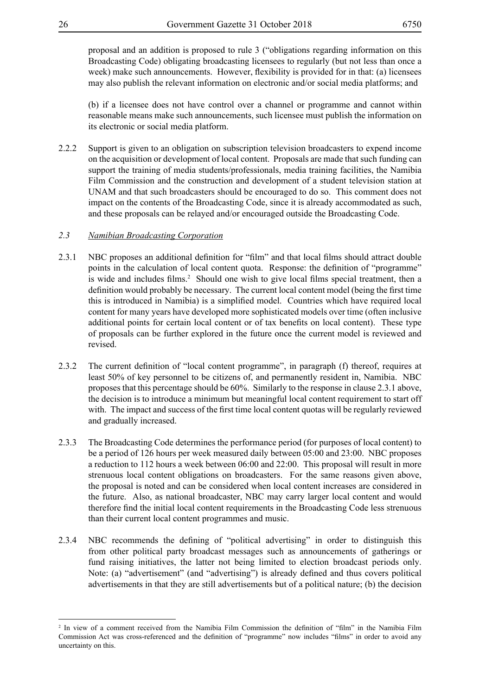proposal and an addition is proposed to rule 3 ("obligations regarding information on this Broadcasting Code) obligating broadcasting licensees to regularly (but not less than once a week) make such announcements. However, flexibility is provided for in that: (a) licensees may also publish the relevant information on electronic and/or social media platforms; and

(b) if a licensee does not have control over a channel or programme and cannot within reasonable means make such announcements, such licensee must publish the information on its electronic or social media platform.

2.2.2 Support is given to an obligation on subscription television broadcasters to expend income on the acquisition or development of local content. Proposals are made that such funding can support the training of media students/professionals, media training facilities, the Namibia Film Commission and the construction and development of a student television station at UNAM and that such broadcasters should be encouraged to do so. This comment does not impact on the contents of the Broadcasting Code, since it is already accommodated as such, and these proposals can be relayed and/or encouraged outside the Broadcasting Code.

#### *2.3 Namibian Broadcasting Corporation*

- 2.3.1 NBC proposes an additional definition for "film" and that local films should attract double points in the calculation of local content quota. Response: the definition of "programme" is wide and includes films.<sup>2</sup> Should one wish to give local films special treatment, then a definition would probably be necessary. The current local content model (being the first time this is introduced in Namibia) is a simplified model. Countries which have required local content for many years have developed more sophisticated models over time (often inclusive additional points for certain local content or of tax benefits on local content). These type of proposals can be further explored in the future once the current model is reviewed and revised.
- 2.3.2 The current definition of "local content programme", in paragraph (f) thereof, requires at least 50% of key personnel to be citizens of, and permanently resident in, Namibia. NBC proposes that this percentage should be 60%. Similarly to the response in clause 2.3.1 above, the decision is to introduce a minimum but meaningful local content requirement to start off with. The impact and success of the first time local content quotas will be regularly reviewed and gradually increased.
- 2.3.3 The Broadcasting Code determines the performance period (for purposes of local content) to be a period of 126 hours per week measured daily between 05:00 and 23:00. NBC proposes a reduction to 112 hours a week between 06:00 and 22:00. This proposal will result in more strenuous local content obligations on broadcasters. For the same reasons given above, the proposal is noted and can be considered when local content increases are considered in the future. Also, as national broadcaster, NBC may carry larger local content and would therefore find the initial local content requirements in the Broadcasting Code less strenuous than their current local content programmes and music.
- 2.3.4 NBC recommends the defining of "political advertising" in order to distinguish this from other political party broadcast messages such as announcements of gatherings or fund raising initiatives, the latter not being limited to election broadcast periods only. Note: (a) "advertisement" (and "advertising") is already defined and thus covers political advertisements in that they are still advertisements but of a political nature; (b) the decision

<sup>2</sup> In view of a comment received from the Namibia Film Commission the definition of "film" in the Namibia Film Commission Act was cross-referenced and the definition of "programme" now includes "films" in order to avoid any uncertainty on this.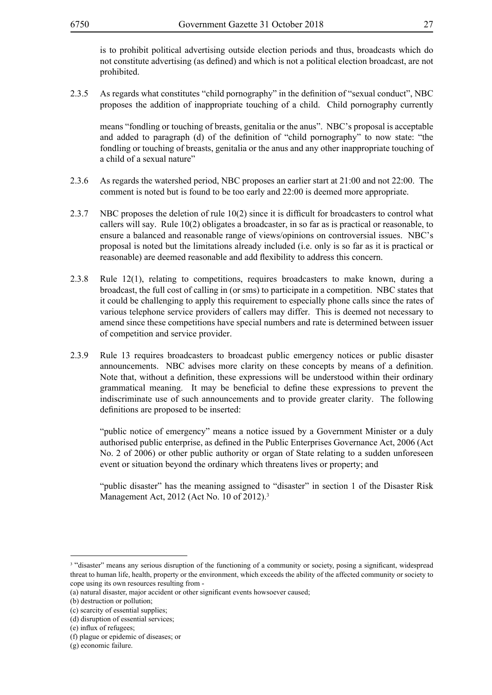is to prohibit political advertising outside election periods and thus, broadcasts which do not constitute advertising (as defined) and which is not a political election broadcast, are not prohibited.

2.3.5 As regards what constitutes "child pornography" in the definition of "sexual conduct", NBC proposes the addition of inappropriate touching of a child. Child pornography currently

means "fondling or touching of breasts, genitalia or the anus". NBC's proposal is acceptable and added to paragraph (d) of the definition of "child pornography" to now state: "the fondling or touching of breasts, genitalia or the anus and any other inappropriate touching of a child of a sexual nature"

- 2.3.6 As regards the watershed period, NBC proposes an earlier start at 21:00 and not 22:00. The comment is noted but is found to be too early and 22:00 is deemed more appropriate.
- 2.3.7 NBC proposes the deletion of rule 10(2) since it is difficult for broadcasters to control what callers will say. Rule 10(2) obligates a broadcaster, in so far as is practical or reasonable, to ensure a balanced and reasonable range of views/opinions on controversial issues. NBC's proposal is noted but the limitations already included (i.e. only is so far as it is practical or reasonable) are deemed reasonable and add flexibility to address this concern.
- 2.3.8 Rule 12(1), relating to competitions, requires broadcasters to make known, during a broadcast, the full cost of calling in (or sms) to participate in a competition. NBC states that it could be challenging to apply this requirement to especially phone calls since the rates of various telephone service providers of callers may differ. This is deemed not necessary to amend since these competitions have special numbers and rate is determined between issuer of competition and service provider.
- 2.3.9 Rule 13 requires broadcasters to broadcast public emergency notices or public disaster announcements. NBC advises more clarity on these concepts by means of a definition. Note that, without a definition, these expressions will be understood within their ordinary grammatical meaning. It may be beneficial to define these expressions to prevent the indiscriminate use of such announcements and to provide greater clarity. The following definitions are proposed to be inserted:

"public notice of emergency" means a notice issued by a Government Minister or a duly authorised public enterprise, as defined in the Public Enterprises Governance Act, 2006 (Act No. 2 of 2006) or other public authority or organ of State relating to a sudden unforeseen event or situation beyond the ordinary which threatens lives or property; and

"public disaster" has the meaning assigned to "disaster" in section 1 of the Disaster Risk Management Act, 2012 (Act No. 10 of 2012).3

<sup>&</sup>lt;sup>3</sup> "disaster" means any serious disruption of the functioning of a community or society, posing a significant, widespread threat to human life, health, property or the environment, which exceeds the ability of the affected community or society to cope using its own resources resulting from -

<sup>(</sup>a) natural disaster, major accident or other significant events howsoever caused;

<sup>(</sup>b) destruction or pollution;

<sup>(</sup>c) scarcity of essential supplies;

<sup>(</sup>d) disruption of essential services;

<sup>(</sup>e) influx of refugees;

<sup>(</sup>f) plague or epidemic of diseases; or

<sup>(</sup>g) economic failure.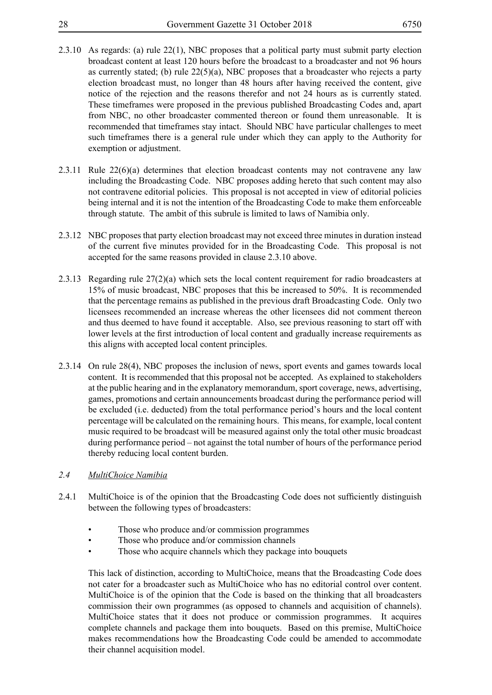- 2.3.10 As regards: (a) rule 22(1), NBC proposes that a political party must submit party election broadcast content at least 120 hours before the broadcast to a broadcaster and not 96 hours as currently stated; (b) rule  $22(5)(a)$ , NBC proposes that a broadcaster who rejects a party election broadcast must, no longer than 48 hours after having received the content, give notice of the rejection and the reasons therefor and not 24 hours as is currently stated. These timeframes were proposed in the previous published Broadcasting Codes and, apart from NBC, no other broadcaster commented thereon or found them unreasonable. It is recommended that timeframes stay intact. Should NBC have particular challenges to meet such timeframes there is a general rule under which they can apply to the Authority for exemption or adjustment.
- 2.3.11 Rule 22(6)(a) determines that election broadcast contents may not contravene any law including the Broadcasting Code. NBC proposes adding hereto that such content may also not contravene editorial policies. This proposal is not accepted in view of editorial policies being internal and it is not the intention of the Broadcasting Code to make them enforceable through statute. The ambit of this subrule is limited to laws of Namibia only.
- 2.3.12 NBC proposes that party election broadcast may not exceed three minutes in duration instead of the current five minutes provided for in the Broadcasting Code. This proposal is not accepted for the same reasons provided in clause 2.3.10 above.
- 2.3.13 Regarding rule 27(2)(a) which sets the local content requirement for radio broadcasters at 15% of music broadcast, NBC proposes that this be increased to 50%. It is recommended that the percentage remains as published in the previous draft Broadcasting Code. Only two licensees recommended an increase whereas the other licensees did not comment thereon and thus deemed to have found it acceptable. Also, see previous reasoning to start off with lower levels at the first introduction of local content and gradually increase requirements as this aligns with accepted local content principles.
- 2.3.14 On rule 28(4), NBC proposes the inclusion of news, sport events and games towards local content. It is recommended that this proposal not be accepted. As explained to stakeholders at the public hearing and in the explanatory memorandum, sport coverage, news, advertising, games, promotions and certain announcements broadcast during the performance period will be excluded (i.e. deducted) from the total performance period's hours and the local content percentage will be calculated on the remaining hours. This means, for example, local content music required to be broadcast will be measured against only the total other music broadcast during performance period – not against the total number of hours of the performance period thereby reducing local content burden.

# *2.4 MultiChoice Namibia*

- 2.4.1 MultiChoice is of the opinion that the Broadcasting Code does not sufficiently distinguish between the following types of broadcasters:
	- Those who produce and/or commission programmes
	- Those who produce and/or commission channels
	- Those who acquire channels which they package into bouquets

This lack of distinction, according to MultiChoice, means that the Broadcasting Code does not cater for a broadcaster such as MultiChoice who has no editorial control over content. MultiChoice is of the opinion that the Code is based on the thinking that all broadcasters commission their own programmes (as opposed to channels and acquisition of channels). MultiChoice states that it does not produce or commission programmes. It acquires complete channels and package them into bouquets. Based on this premise, MultiChoice makes recommendations how the Broadcasting Code could be amended to accommodate their channel acquisition model.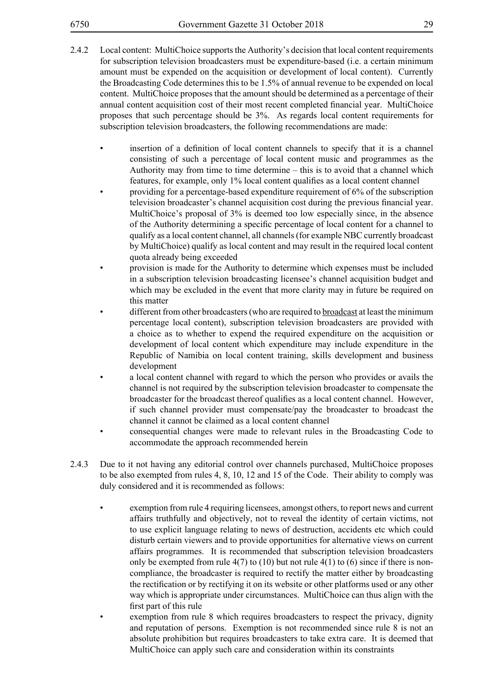- 2.4.2 Local content: MultiChoice supports the Authority's decision that local content requirements for subscription television broadcasters must be expenditure-based (i.e. a certain minimum amount must be expended on the acquisition or development of local content). Currently the Broadcasting Code determines this to be 1.5% of annual revenue to be expended on local content. MultiChoice proposes that the amount should be determined as a percentage of their annual content acquisition cost of their most recent completed financial year. MultiChoice proposes that such percentage should be 3%. As regards local content requirements for subscription television broadcasters, the following recommendations are made:
	- insertion of a definition of local content channels to specify that it is a channel consisting of such a percentage of local content music and programmes as the Authority may from time to time determine – this is to avoid that a channel which features, for example, only 1% local content qualifies as a local content channel
	- providing for a percentage-based expenditure requirement of  $6\%$  of the subscription television broadcaster's channel acquisition cost during the previous financial year. MultiChoice's proposal of 3% is deemed too low especially since, in the absence of the Authority determining a specific percentage of local content for a channel to qualify as a local content channel, all channels (for example NBC currently broadcast by MultiChoice) qualify as local content and may result in the required local content quota already being exceeded
	- provision is made for the Authority to determine which expenses must be included in a subscription television broadcasting licensee's channel acquisition budget and which may be excluded in the event that more clarity may in future be required on this matter
	- different from other broadcasters (who are required to broadcast at least the minimum percentage local content), subscription television broadcasters are provided with a choice as to whether to expend the required expenditure on the acquisition or development of local content which expenditure may include expenditure in the Republic of Namibia on local content training, skills development and business development
	- a local content channel with regard to which the person who provides or avails the channel is not required by the subscription television broadcaster to compensate the broadcaster for the broadcast thereof qualifies as a local content channel. However, if such channel provider must compensate/pay the broadcaster to broadcast the channel it cannot be claimed as a local content channel
	- consequential changes were made to relevant rules in the Broadcasting Code to accommodate the approach recommended herein
- 2.4.3 Due to it not having any editorial control over channels purchased, MultiChoice proposes to be also exempted from rules 4, 8, 10, 12 and 15 of the Code. Their ability to comply was duly considered and it is recommended as follows:
	- exemption from rule 4 requiring licensees, amongst others, to report news and current affairs truthfully and objectively, not to reveal the identity of certain victims, not to use explicit language relating to news of destruction, accidents etc which could disturb certain viewers and to provide opportunities for alternative views on current affairs programmes. It is recommended that subscription television broadcasters only be exempted from rule  $4(7)$  to  $(10)$  but not rule  $4(1)$  to  $(6)$  since if there is noncompliance, the broadcaster is required to rectify the matter either by broadcasting the rectification or by rectifying it on its website or other platforms used or any other way which is appropriate under circumstances. MultiChoice can thus align with the first part of this rule
	- exemption from rule 8 which requires broadcasters to respect the privacy, dignity and reputation of persons. Exemption is not recommended since rule 8 is not an absolute prohibition but requires broadcasters to take extra care. It is deemed that MultiChoice can apply such care and consideration within its constraints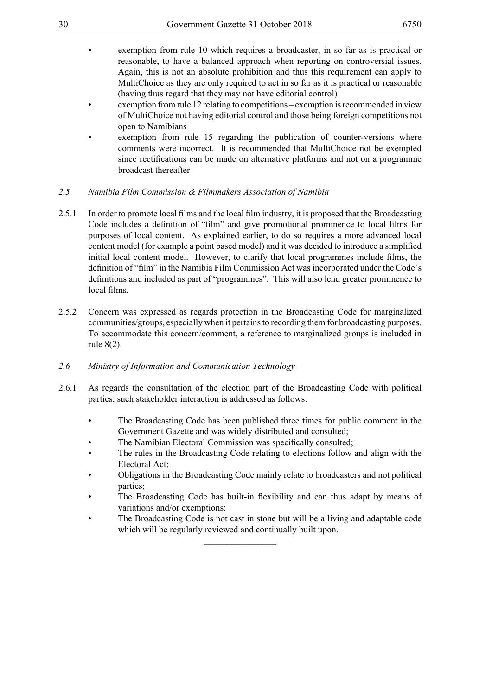- exemption from rule 10 which requires a broadcaster, in so far as is practical or reasonable, to have a balanced approach when reporting on controversial issues. Again, this is not an absolute prohibition and thus this requirement can apply to MultiChoice as they are only required to act in so far as it is practical or reasonable (having thus regard that they may not have editorial control)
- exemption from rule 12 relating to competitions exemption is recommended in view of MultiChoice not having editorial control and those being foreign competitions not open to Namibians
- exemption from rule 15 regarding the publication of counter-versions where comments were incorrect. It is recommended that MultiChoice not be exempted since rectifications can be made on alternative platforms and not on a programme broadcast thereafter

# *2.5 Namibia Film Commission & Filmmakers Association of Namibia*

- 2.5.1 In order to promote local films and the local film industry, it is proposed that the Broadcasting Code includes a definition of "film" and give promotional prominence to local films for purposes of local content. As explained earlier, to do so requires a more advanced local content model (for example a point based model) and it was decided to introduce a simplified initial local content model. However, to clarify that local programmes include films, the definition of "film" in the Namibia Film Commission Act was incorporated under the Code's definitions and included as part of "programmes". This will also lend greater prominence to local films.
- 2.5.2 Concern was expressed as regards protection in the Broadcasting Code for marginalized communities/groups, especially when it pertains to recording them for broadcasting purposes. To accommodate this concern/comment, a reference to marginalized groups is included in rule 8(2).

# *2.6 Ministry of Information and Communication Technology*

- 2.6.1 As regards the consultation of the election part of the Broadcasting Code with political parties, such stakeholder interaction is addressed as follows:
	- The Broadcasting Code has been published three times for public comment in the Government Gazette and was widely distributed and consulted;
	- The Namibian Electoral Commission was specifically consulted;
	- The rules in the Broadcasting Code relating to elections follow and align with the Electoral Act;
	- Obligations in the Broadcasting Code mainly relate to broadcasters and not political parties;
	- The Broadcasting Code has built-in flexibility and can thus adapt by means of variations and/or exemptions;
	- The Broadcasting Code is not cast in stone but will be a living and adaptable code which will be regularly reviewed and continually built upon.

 $\overline{\phantom{a}}$  , where  $\overline{\phantom{a}}$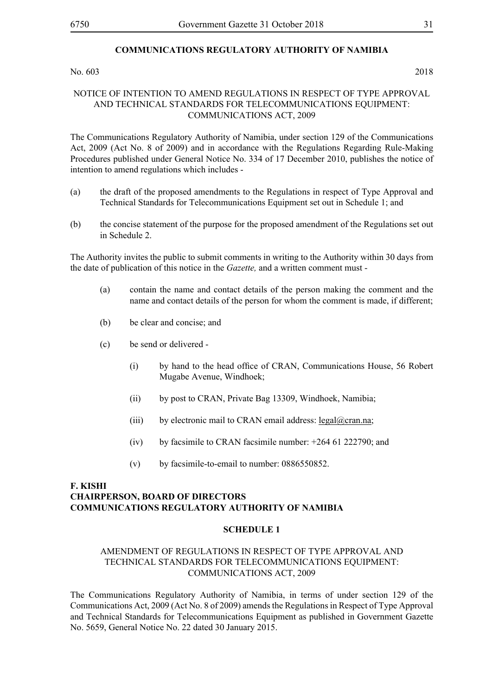### **COMMUNICATIONS REGULATORY AUTHORITY OF NAMIBIA**

No. 603 2018

#### NOTICE OF INTENTION TO AMEND REGULATIONS IN RESPECT OF TYPE APPROVAL AND TECHNICAL STANDARDS FOR TELECOMMUNICATIONS EQUIPMENT: COMMUNICATIONS ACT, 2009

The Communications Regulatory Authority of Namibia, under section 129 of the Communications Act, 2009 (Act No. 8 of 2009) and in accordance with the Regulations Regarding Rule-Making Procedures published under General Notice No. 334 of 17 December 2010, publishes the notice of intention to amend regulations which includes -

- (a) the draft of the proposed amendments to the Regulations in respect of Type Approval and Technical Standards for Telecommunications Equipment set out in Schedule 1; and
- (b) the concise statement of the purpose for the proposed amendment of the Regulations set out in Schedule 2.

The Authority invites the public to submit comments in writing to the Authority within 30 days from the date of publication of this notice in the *Gazette,* and a written comment must -

- (a) contain the name and contact details of the person making the comment and the name and contact details of the person for whom the comment is made, if different;
- (b) be clear and concise; and
- (c) be send or delivered
	- (i) by hand to the head office of CRAN, Communications House, 56 Robert Mugabe Avenue, Windhoek;
	- (ii) by post to CRAN, Private Bag 13309, Windhoek, Namibia;
	- (iii) by electronic mail to CRAN email address:  $\text{legal@cran.na}$ ;
	- (iv) by facsimile to CRAN facsimile number: +264 61 222790; and
	- (v) by facsimile-to-email to number: 0886550852.

#### **F. KISHI CHAIRPERSON, BOARD OF DIRECTORS COMMUNICATIONS REGULATORY AUTHORITY OF NAMIBIA**

#### **SCHEDULE 1**

#### AMENDMENT OF REGULATIONS IN RESPECT OF TYPE APPROVAL AND TECHNICAL STANDARDS FOR TELECOMMUNICATIONS EQUIPMENT: COMMUNICATIONS ACT, 2009

The Communications Regulatory Authority of Namibia, in terms of under section 129 of the Communications Act, 2009 (Act No. 8 of 2009) amends the Regulations in Respect of Type Approval and Technical Standards for Telecommunications Equipment as published in Government Gazette No. 5659, General Notice No. 22 dated 30 January 2015.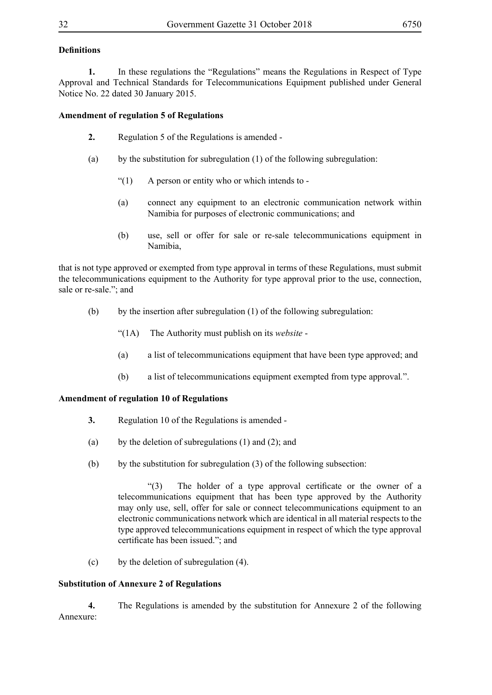# **Definitions**

**1.** In these regulations the "Regulations" means the Regulations in Respect of Type Approval and Technical Standards for Telecommunications Equipment published under General Notice No. 22 dated 30 January 2015.

# **Amendment of regulation 5 of Regulations**

- **2.** Regulation 5 of the Regulations is amended -
- (a) by the substitution for subregulation (1) of the following subregulation:
	- $\lq(1)$  A person or entity who or which intends to -
	- (a) connect any equipment to an electronic communication network within Namibia for purposes of electronic communications; and
	- (b) use, sell or offer for sale or re-sale telecommunications equipment in Namibia,

that is not type approved or exempted from type approval in terms of these Regulations, must submit the telecommunications equipment to the Authority for type approval prior to the use, connection, sale or re-sale."; and

- (b) by the insertion after subregulation (1) of the following subregulation:
	- "(1A) The Authority must publish on its *website* -
	- (a) a list of telecommunications equipment that have been type approved; and
	- (b) a list of telecommunications equipment exempted from type approval*.*".

# **Amendment of regulation 10 of Regulations**

- **3.** Regulation 10 of the Regulations is amended -
- (a) by the deletion of subregulations (1) and (2); and
- (b) by the substitution for subregulation  $(3)$  of the following subsection:

 "(3) The holder of a type approval certificate or the owner of a telecommunications equipment that has been type approved by the Authority may only use, sell, offer for sale or connect telecommunications equipment to an electronic communications network which are identical in all material respects to the type approved telecommunications equipment in respect of which the type approval certificate has been issued."; and

(c) by the deletion of subregulation (4).

# **Substitution of Annexure 2 of Regulations**

**4.** The Regulations is amended by the substitution for Annexure 2 of the following Annexure: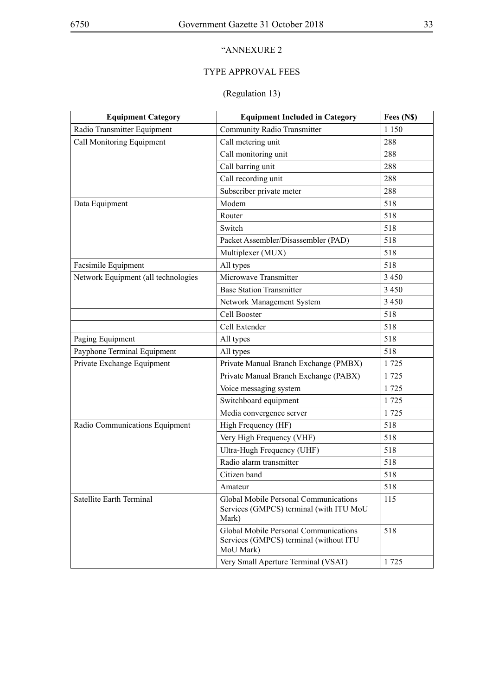# "ANNEXURE 2

# TYPE APPROVAL FEES

# (Regulation 13)

| <b>Equipment Category</b>           | <b>Equipment Included in Category</b>                                                        | Fees (N\$) |
|-------------------------------------|----------------------------------------------------------------------------------------------|------------|
| Radio Transmitter Equipment         | <b>Community Radio Transmitter</b>                                                           | 1 1 5 0    |
| Call Monitoring Equipment           | Call metering unit                                                                           | 288        |
|                                     | Call monitoring unit                                                                         | 288        |
|                                     | Call barring unit                                                                            | 288        |
|                                     | Call recording unit                                                                          | 288        |
|                                     | Subscriber private meter                                                                     | 288        |
| Data Equipment                      | Modem                                                                                        | 518        |
|                                     | Router                                                                                       | 518        |
|                                     | Switch                                                                                       | 518        |
|                                     | Packet Assembler/Disassembler (PAD)                                                          | 518        |
|                                     | Multiplexer (MUX)                                                                            | 518        |
| Facsimile Equipment                 | All types                                                                                    | 518        |
| Network Equipment (all technologies | Microwave Transmitter                                                                        | 3 4 5 0    |
|                                     | <b>Base Station Transmitter</b>                                                              | 3 4 5 0    |
|                                     | Network Management System                                                                    | 3 4 5 0    |
|                                     | Cell Booster                                                                                 | 518        |
|                                     | Cell Extender                                                                                | 518        |
| Paging Equipment                    | All types                                                                                    | 518        |
| Payphone Terminal Equipment         | All types                                                                                    | 518        |
| Private Exchange Equipment          | Private Manual Branch Exchange (PMBX)                                                        | 1725       |
|                                     | Private Manual Branch Exchange (PABX)                                                        | 1725       |
|                                     | Voice messaging system                                                                       | 1725       |
|                                     | Switchboard equipment                                                                        | 1725       |
|                                     | Media convergence server                                                                     | 1725       |
| Radio Communications Equipment      | High Frequency (HF)                                                                          | 518        |
|                                     | Very High Frequency (VHF)                                                                    | 518        |
|                                     | Ultra-Hugh Frequency (UHF)                                                                   | 518        |
|                                     | Radio alarm transmitter                                                                      | 518        |
|                                     | Citizen band                                                                                 | 518        |
|                                     | Amateur                                                                                      | 518        |
| Satellite Earth Terminal            | Global Mobile Personal Communications<br>Services (GMPCS) terminal (with ITU MoU<br>Mark)    | 115        |
|                                     | Global Mobile Personal Communications<br>Services (GMPCS) terminal (without ITU<br>MoU Mark) | 518        |
|                                     | Very Small Aperture Terminal (VSAT)                                                          | 1725       |